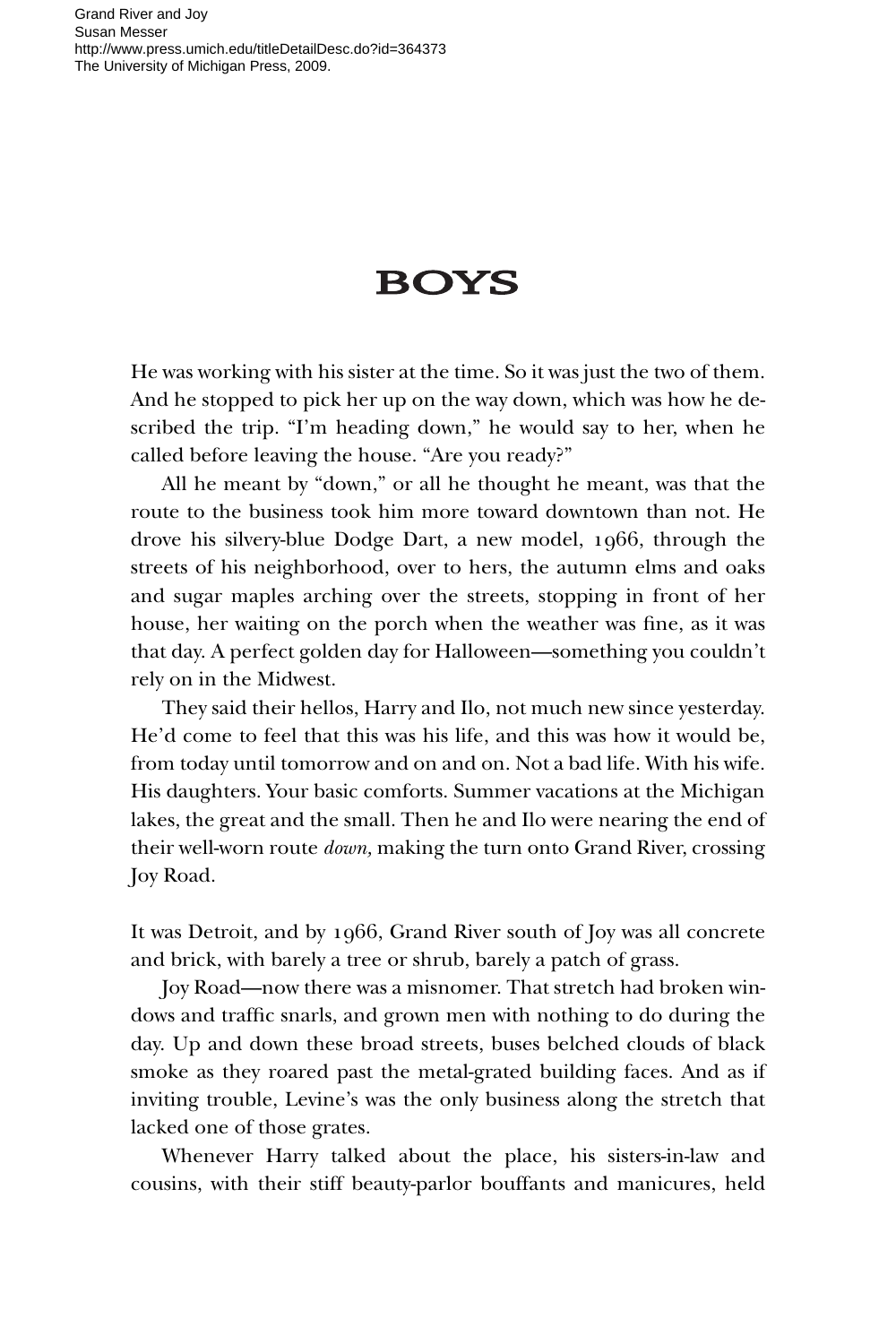Grand River and Joy Susan Messer <http://www.press.umich.edu/titleDetailDesc.do?id=364373> The University of Michigan Press, 2009.

## **BOYS**

He was working with his sister at the time. So it was just the two of them. And he stopped to pick her up on the way down, which was how he described the trip. "I'm heading down," he would say to her, when he called before leaving the house. "Are you ready?"

All he meant by "down," or all he thought he meant, was that the route to the business took him more toward downtown than not. He drove his silvery-blue Dodge Dart, a new model, 1966, through the streets of his neighborhood, over to hers, the autumn elms and oaks and sugar maples arching over the streets, stopping in front of her house, her waiting on the porch when the weather was fine, as it was that day. A perfect golden day for Halloween—something you couldn't rely on in the Midwest.

They said their hellos, Harry and Ilo, not much new since yesterday. He'd come to feel that this was his life, and this was how it would be, from today until tomorrow and on and on. Not a bad life. With his wife. His daughters. Your basic comforts. Summer vacations at the Michigan lakes, the great and the small. Then he and Ilo were nearing the end of their well-worn route *down,* making the turn onto Grand River, crossing Joy Road.

It was Detroit, and by 1966, Grand River south of Joy was all concrete and brick, with barely a tree or shrub, barely a patch of grass.

Joy Road—now there was a misnomer. That stretch had broken windows and traffic snarls, and grown men with nothing to do during the day. Up and down these broad streets, buses belched clouds of black smoke as they roared past the metal-grated building faces. And as if inviting trouble, Levine's was the only business along the stretch that lacked one of those grates.

Whenever Harry talked about the place, his sisters-in-law and cousins, with their stiff beauty-parlor bouffants and manicures, held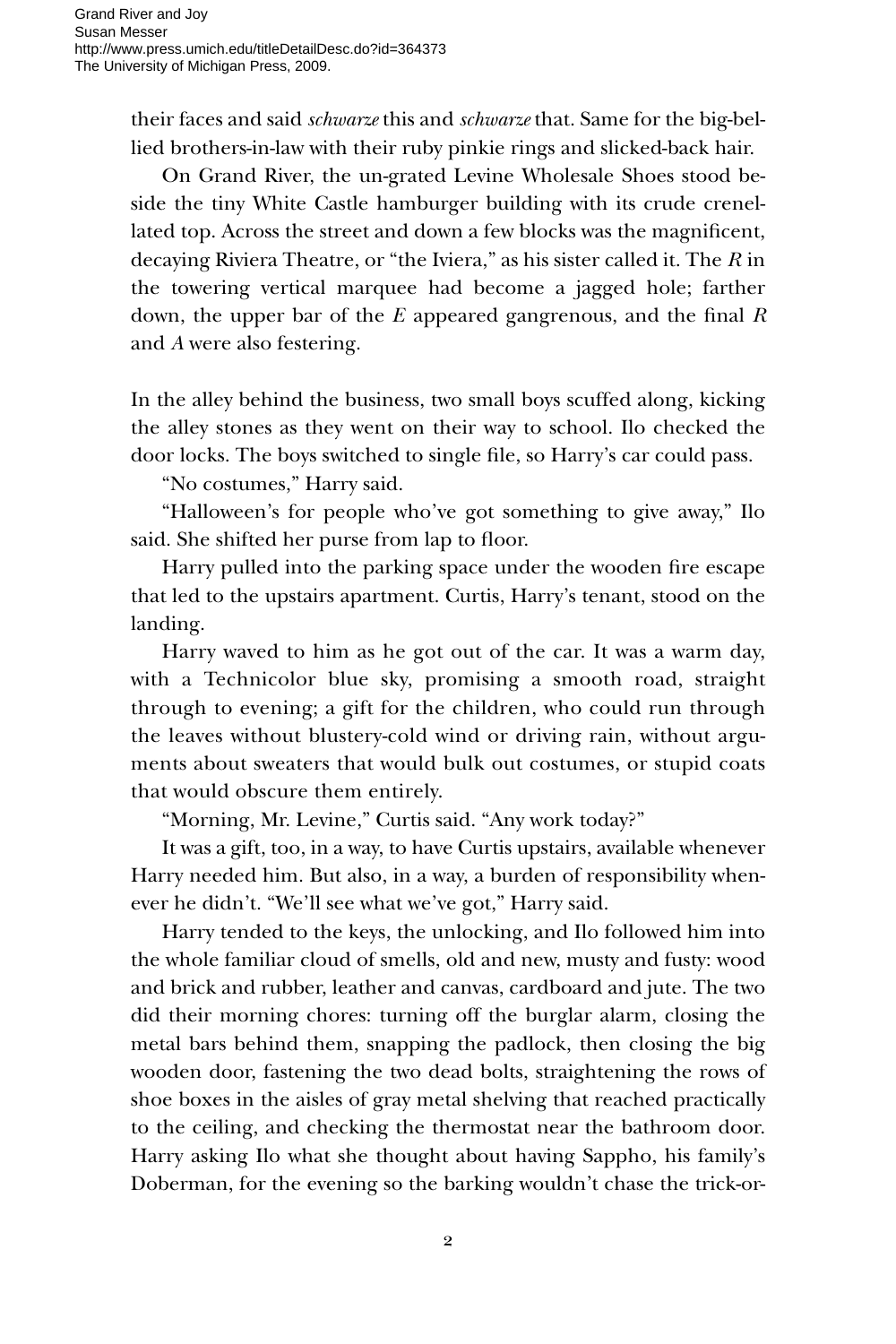their faces and said *schwarze* this and *schwarze* that. Same for the big-bellied brothers-in-law with their ruby pinkie rings and slicked-back hair.

On Grand River, the un-grated Levine Wholesale Shoes stood beside the tiny White Castle hamburger building with its crude crenellated top. Across the street and down a few blocks was the magnificent, decaying Riviera Theatre, or "the Iviera," as his sister called it. The *R* in the towering vertical marquee had become a jagged hole; farther down, the upper bar of the *E* appeared gangrenous, and the final *R* and *A* were also festering.

In the alley behind the business, two small boys scuffed along, kicking the alley stones as they went on their way to school. Ilo checked the door locks. The boys switched to single file, so Harry's car could pass.

"No costumes," Harry said.

"Halloween's for people who've got something to give away," Ilo said. She shifted her purse from lap to floor.

Harry pulled into the parking space under the wooden fire escape that led to the upstairs apartment. Curtis, Harry's tenant, stood on the landing.

Harry waved to him as he got out of the car. It was a warm day, with a Technicolor blue sky, promising a smooth road, straight through to evening; a gift for the children, who could run through the leaves without blustery-cold wind or driving rain, without arguments about sweaters that would bulk out costumes, or stupid coats that would obscure them entirely.

"Morning, Mr. Levine," Curtis said. "Any work today?"

It was a gift, too, in a way, to have Curtis upstairs, available whenever Harry needed him. But also, in a way, a burden of responsibility whenever he didn't. "We'll see what we've got," Harry said.

Harry tended to the keys, the unlocking, and Ilo followed him into the whole familiar cloud of smells, old and new, musty and fusty: wood and brick and rubber, leather and canvas, cardboard and jute. The two did their morning chores: turning off the burglar alarm, closing the metal bars behind them, snapping the padlock, then closing the big wooden door, fastening the two dead bolts, straightening the rows of shoe boxes in the aisles of gray metal shelving that reached practically to the ceiling, and checking the thermostat near the bathroom door. Harry asking Ilo what she thought about having Sappho, his family's Doberman, for the evening so the barking wouldn't chase the trick-or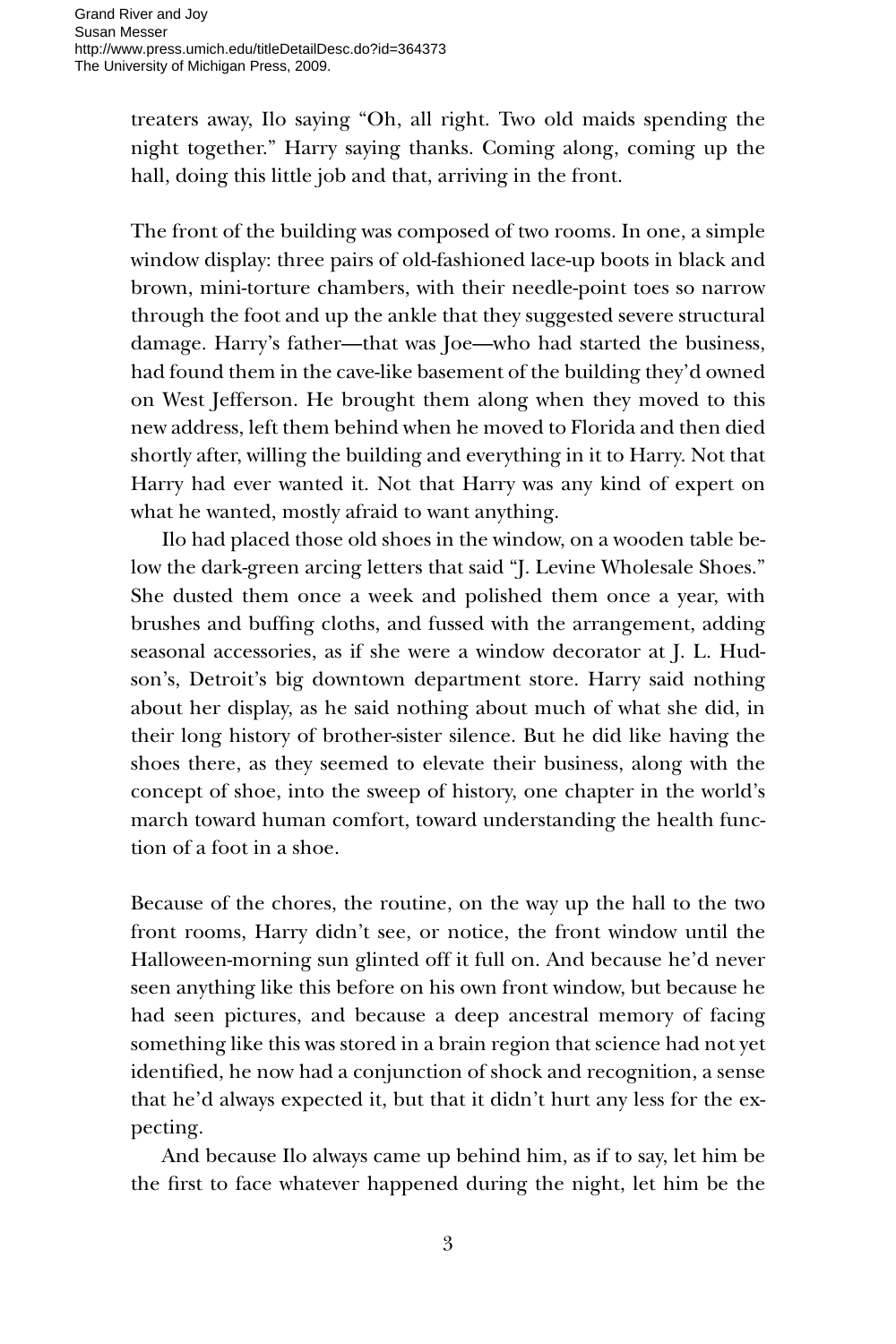treaters away, Ilo saying "Oh, all right. Two old maids spending the night together." Harry saying thanks. Coming along, coming up the hall, doing this little job and that, arriving in the front.

The front of the building was composed of two rooms. In one, a simple window display: three pairs of old-fashioned lace-up boots in black and brown, mini-torture chambers, with their needle-point toes so narrow through the foot and up the ankle that they suggested severe structural damage. Harry's father—that was Joe—who had started the business, had found them in the cave-like basement of the building they'd owned on West Jefferson. He brought them along when they moved to this new address, left them behind when he moved to Florida and then died shortly after, willing the building and everything in it to Harry. Not that Harry had ever wanted it. Not that Harry was any kind of expert on what he wanted, mostly afraid to want anything.

Ilo had placed those old shoes in the window, on a wooden table below the dark-green arcing letters that said "J. Levine Wholesale Shoes." She dusted them once a week and polished them once a year, with brushes and buffing cloths, and fussed with the arrangement, adding seasonal accessories, as if she were a window decorator at J. L. Hudson's, Detroit's big downtown department store. Harry said nothing about her display, as he said nothing about much of what she did, in their long history of brother-sister silence. But he did like having the shoes there, as they seemed to elevate their business, along with the concept of shoe, into the sweep of history, one chapter in the world's march toward human comfort, toward understanding the health function of a foot in a shoe.

Because of the chores, the routine, on the way up the hall to the two front rooms, Harry didn't see, or notice, the front window until the Halloween-morning sun glinted off it full on. And because he'd never seen anything like this before on his own front window, but because he had seen pictures, and because a deep ancestral memory of facing something like this was stored in a brain region that science had not yet identified, he now had a conjunction of shock and recognition, a sense that he'd always expected it, but that it didn't hurt any less for the expecting.

And because Ilo always came up behind him, as if to say, let him be the first to face whatever happened during the night, let him be the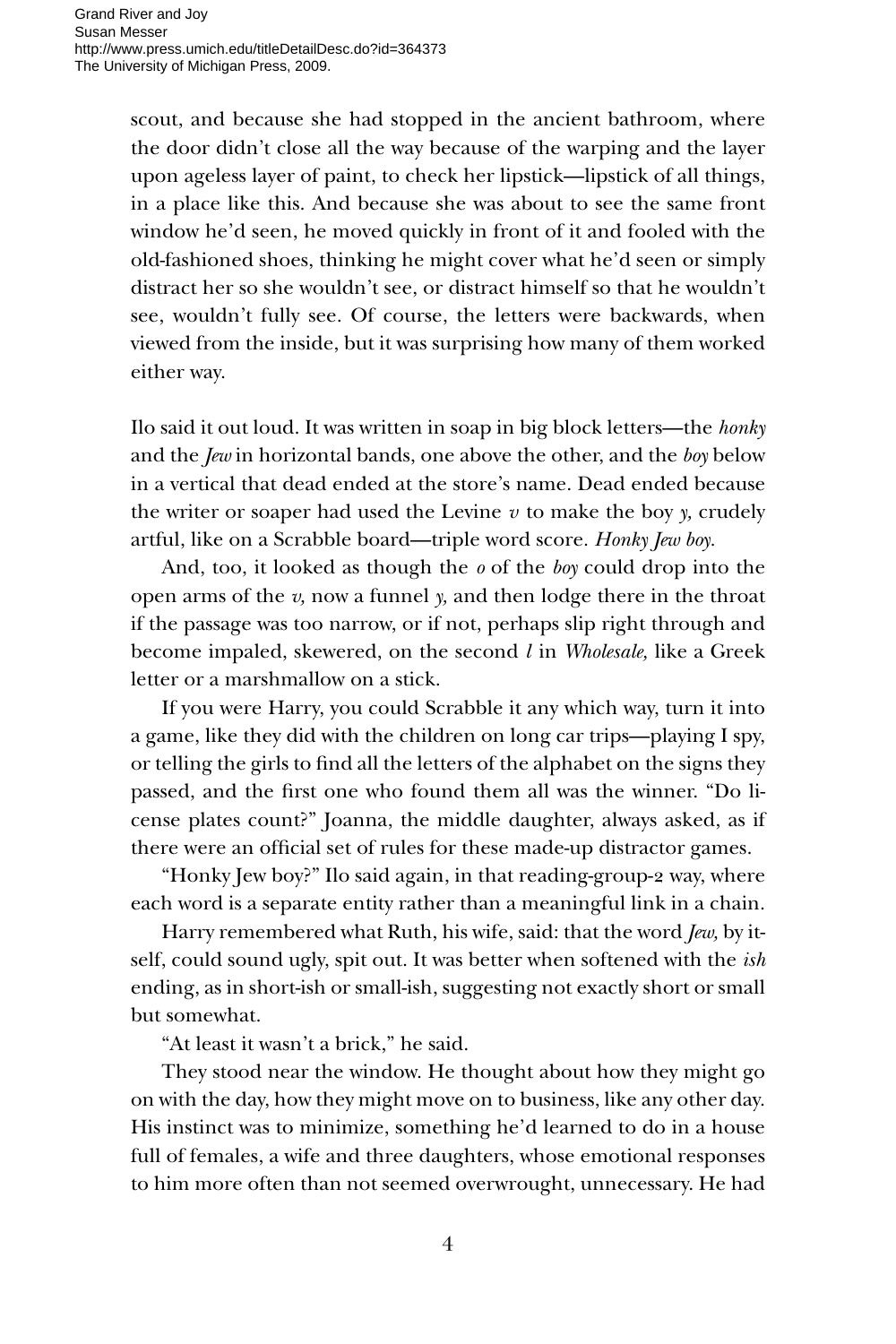scout, and because she had stopped in the ancient bathroom, where the door didn't close all the way because of the warping and the layer upon ageless layer of paint, to check her lipstick—lipstick of all things, in a place like this. And because she was about to see the same front window he'd seen, he moved quickly in front of it and fooled with the old-fashioned shoes, thinking he might cover what he'd seen or simply distract her so she wouldn't see, or distract himself so that he wouldn't see, wouldn't fully see. Of course, the letters were backwards, when viewed from the inside, but it was surprising how many of them worked either way.

Ilo said it out loud. It was written in soap in big block letters—the *honky* and the *Jew* in horizontal bands, one above the other, and the *boy* below in a vertical that dead ended at the store's name. Dead ended because the writer or soaper had used the Levine  $\nu$  to make the boy  $\nu$ , crudely artful, like on a Scrabble board—triple word score. *Honky Jew boy.*

And, too, it looked as though the *o* of the *boy* could drop into the open arms of the *v,* now a funnel *y,* and then lodge there in the throat if the passage was too narrow, or if not, perhaps slip right through and become impaled, skewered, on the second *l* in *Wholesale,* like a Greek letter or a marshmallow on a stick.

If you were Harry, you could Scrabble it any which way, turn it into a game, like they did with the children on long car trips—playing I spy, or telling the girls to find all the letters of the alphabet on the signs they passed, and the first one who found them all was the winner. "Do license plates count?" Joanna, the middle daughter, always asked, as if there were an official set of rules for these made-up distractor games.

"Honky Jew boy?" Ilo said again, in that reading-group-2 way, where each word is a separate entity rather than a meaningful link in a chain.

Harry remembered what Ruth, his wife, said: that the word *Jew,* by itself, could sound ugly, spit out. It was better when softened with the *ish* ending, as in short-ish or small-ish, suggesting not exactly short or small but somewhat.

"At least it wasn't a brick," he said.

They stood near the window. He thought about how they might go on with the day, how they might move on to business, like any other day. His instinct was to minimize, something he'd learned to do in a house full of females, a wife and three daughters, whose emotional responses to him more often than not seemed overwrought, unnecessary. He had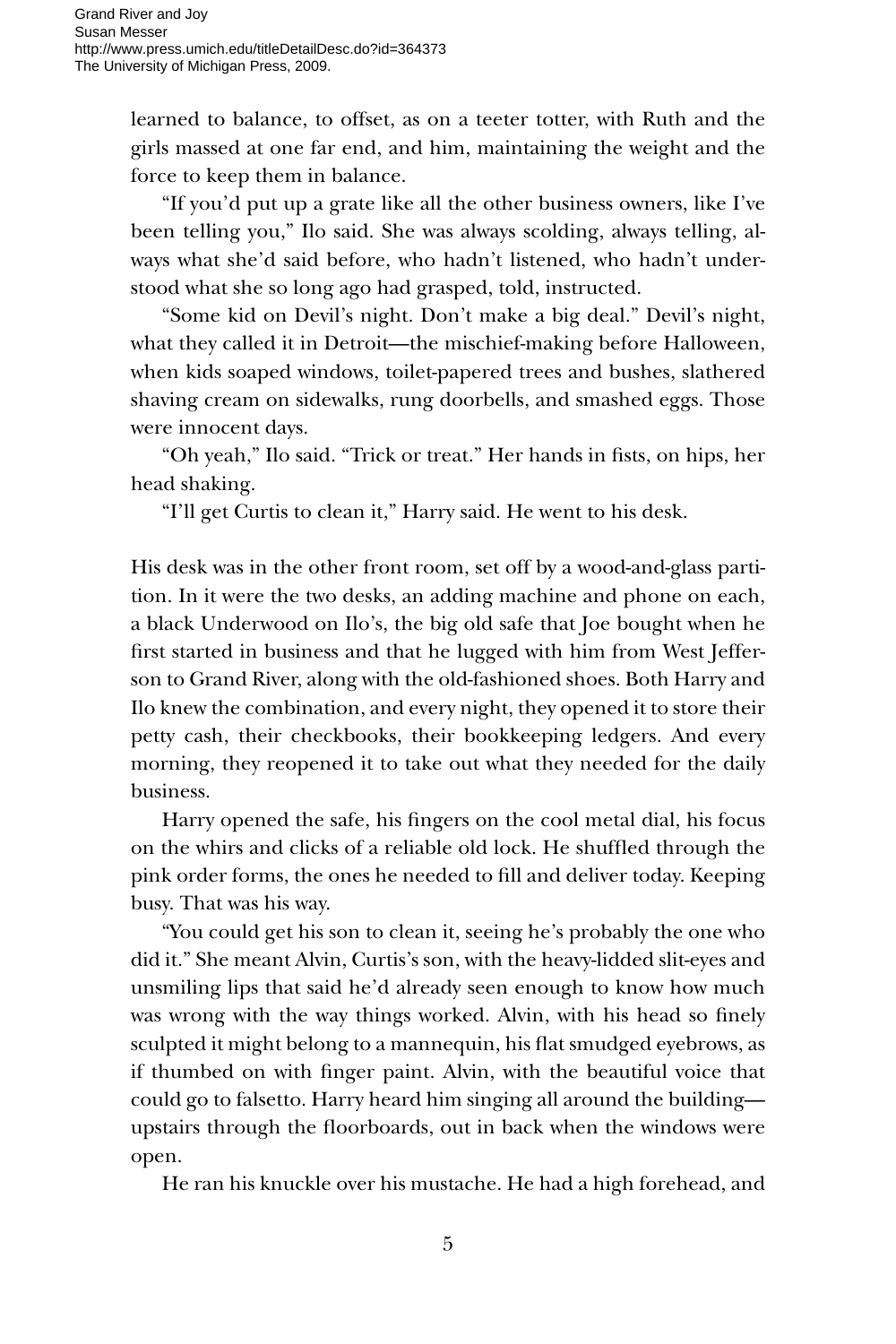learned to balance, to offset, as on a teeter totter, with Ruth and the girls massed at one far end, and him, maintaining the weight and the force to keep them in balance.

"If you'd put up a grate like all the other business owners, like I've been telling you," Ilo said. She was always scolding, always telling, always what she'd said before, who hadn't listened, who hadn't understood what she so long ago had grasped, told, instructed.

"Some kid on Devil's night. Don't make a big deal." Devil's night, what they called it in Detroit—the mischief-making before Halloween, when kids soaped windows, toilet-papered trees and bushes, slathered shaving cream on sidewalks, rung doorbells, and smashed eggs. Those were innocent days.

"Oh yeah," Ilo said. "Trick or treat." Her hands in fists, on hips, her head shaking.

"I'll get Curtis to clean it," Harry said. He went to his desk.

His desk was in the other front room, set off by a wood-and-glass partition. In it were the two desks, an adding machine and phone on each, a black Underwood on Ilo's, the big old safe that Joe bought when he first started in business and that he lugged with him from West Jefferson to Grand River, along with the old-fashioned shoes. Both Harry and Ilo knew the combination, and every night, they opened it to store their petty cash, their checkbooks, their bookkeeping ledgers. And every morning, they reopened it to take out what they needed for the daily business.

Harry opened the safe, his fingers on the cool metal dial, his focus on the whirs and clicks of a reliable old lock. He shuffled through the pink order forms, the ones he needed to fill and deliver today. Keeping busy. That was his way.

"You could get his son to clean it, seeing he's probably the one who did it." She meant Alvin, Curtis's son, with the heavy-lidded slit-eyes and unsmiling lips that said he'd already seen enough to know how much was wrong with the way things worked. Alvin, with his head so finely sculpted it might belong to a mannequin, his flat smudged eyebrows, as if thumbed on with finger paint. Alvin, with the beautiful voice that could go to falsetto. Harry heard him singing all around the building upstairs through the floorboards, out in back when the windows were open.

He ran his knuckle over his mustache. He had a high forehead, and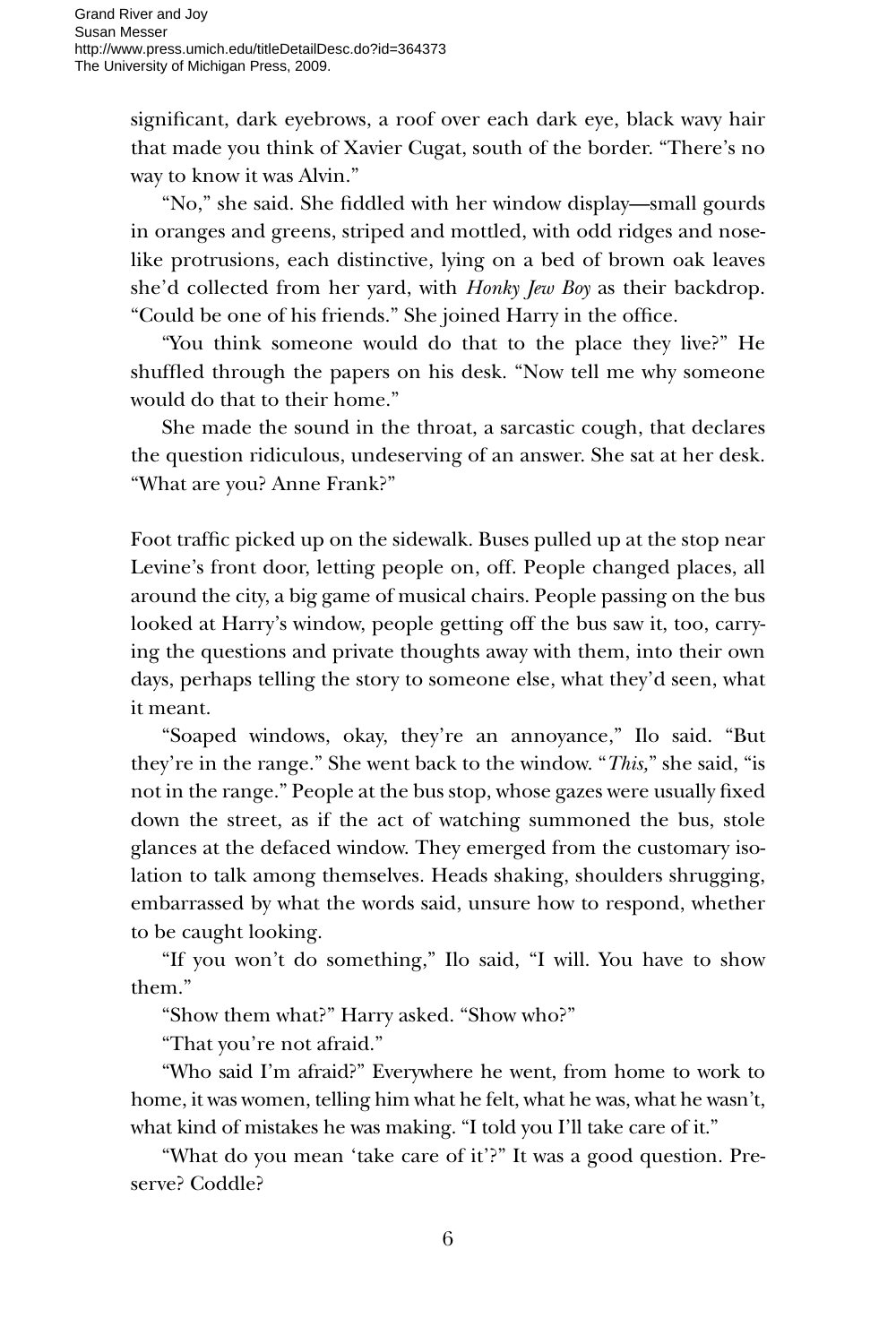significant, dark eyebrows, a roof over each dark eye, black wavy hair that made you think of Xavier Cugat, south of the border. "There's no way to know it was Alvin."

"No," she said. She fiddled with her window display—small gourds in oranges and greens, striped and mottled, with odd ridges and noselike protrusions, each distinctive, lying on a bed of brown oak leaves she'd collected from her yard, with *Honky Jew Boy* as their backdrop. "Could be one of his friends." She joined Harry in the office.

"You think someone would do that to the place they live?" He shuffled through the papers on his desk. "Now tell me why someone would do that to their home."

She made the sound in the throat, a sarcastic cough, that declares the question ridiculous, undeserving of an answer. She sat at her desk. "What are you? Anne Frank?"

Foot traffic picked up on the sidewalk. Buses pulled up at the stop near Levine's front door, letting people on, off. People changed places, all around the city, a big game of musical chairs. People passing on the bus looked at Harry's window, people getting off the bus saw it, too, carrying the questions and private thoughts away with them, into their own days, perhaps telling the story to someone else, what they'd seen, what it meant.

"Soaped windows, okay, they're an annoyance," Ilo said. "But they're in the range." She went back to the window. "*This,*" she said, "is not in the range." People at the bus stop, whose gazes were usually fixed down the street, as if the act of watching summoned the bus, stole glances at the defaced window. They emerged from the customary isolation to talk among themselves. Heads shaking, shoulders shrugging, embarrassed by what the words said, unsure how to respond, whether to be caught looking.

"If you won't do something," Ilo said, "I will. You have to show them."

"Show them what?" Harry asked. "Show who?"

"That you're not afraid."

"Who said I'm afraid?" Everywhere he went, from home to work to home, it was women, telling him what he felt, what he was, what he wasn't, what kind of mistakes he was making. "I told you I'll take care of it."

"What do you mean 'take care of it'?" It was a good question. Preserve? Coddle?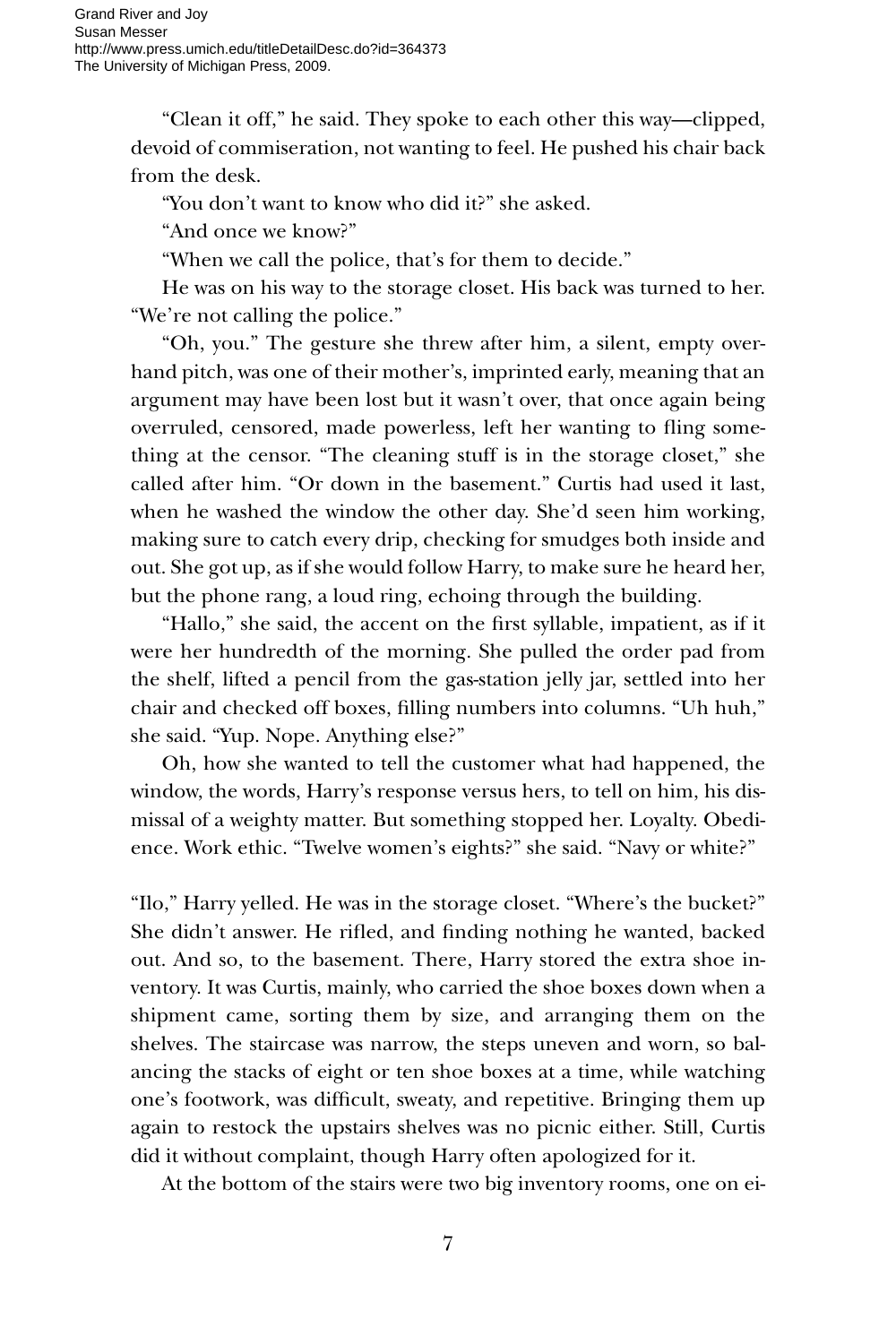"Clean it off," he said. They spoke to each other this way—clipped, devoid of commiseration, not wanting to feel. He pushed his chair back from the desk.

"You don't want to know who did it?" she asked.

"And once we know?"

"When we call the police, that's for them to decide."

He was on his way to the storage closet. His back was turned to her. "We're not calling the police."

"Oh, you." The gesture she threw after him, a silent, empty overhand pitch, was one of their mother's, imprinted early, meaning that an argument may have been lost but it wasn't over, that once again being overruled, censored, made powerless, left her wanting to fling something at the censor. "The cleaning stuff is in the storage closet," she called after him. "Or down in the basement." Curtis had used it last, when he washed the window the other day. She'd seen him working, making sure to catch every drip, checking for smudges both inside and out. She got up, as if she would follow Harry, to make sure he heard her, but the phone rang, a loud ring, echoing through the building.

"Hallo," she said, the accent on the first syllable, impatient, as if it were her hundredth of the morning. She pulled the order pad from the shelf, lifted a pencil from the gas-station jelly jar, settled into her chair and checked off boxes, filling numbers into columns. "Uh huh," she said. "Yup. Nope. Anything else?"

Oh, how she wanted to tell the customer what had happened, the window, the words, Harry's response versus hers, to tell on him, his dismissal of a weighty matter. But something stopped her. Loyalty. Obedience. Work ethic. "Twelve women's eights?" she said. "Navy or white?"

"Ilo," Harry yelled. He was in the storage closet. "Where's the bucket?" She didn't answer. He rifled, and finding nothing he wanted, backed out. And so, to the basement. There, Harry stored the extra shoe inventory. It was Curtis, mainly, who carried the shoe boxes down when a shipment came, sorting them by size, and arranging them on the shelves. The staircase was narrow, the steps uneven and worn, so balancing the stacks of eight or ten shoe boxes at a time, while watching one's footwork, was difficult, sweaty, and repetitive. Bringing them up again to restock the upstairs shelves was no picnic either. Still, Curtis did it without complaint, though Harry often apologized for it.

At the bottom of the stairs were two big inventory rooms, one on ei-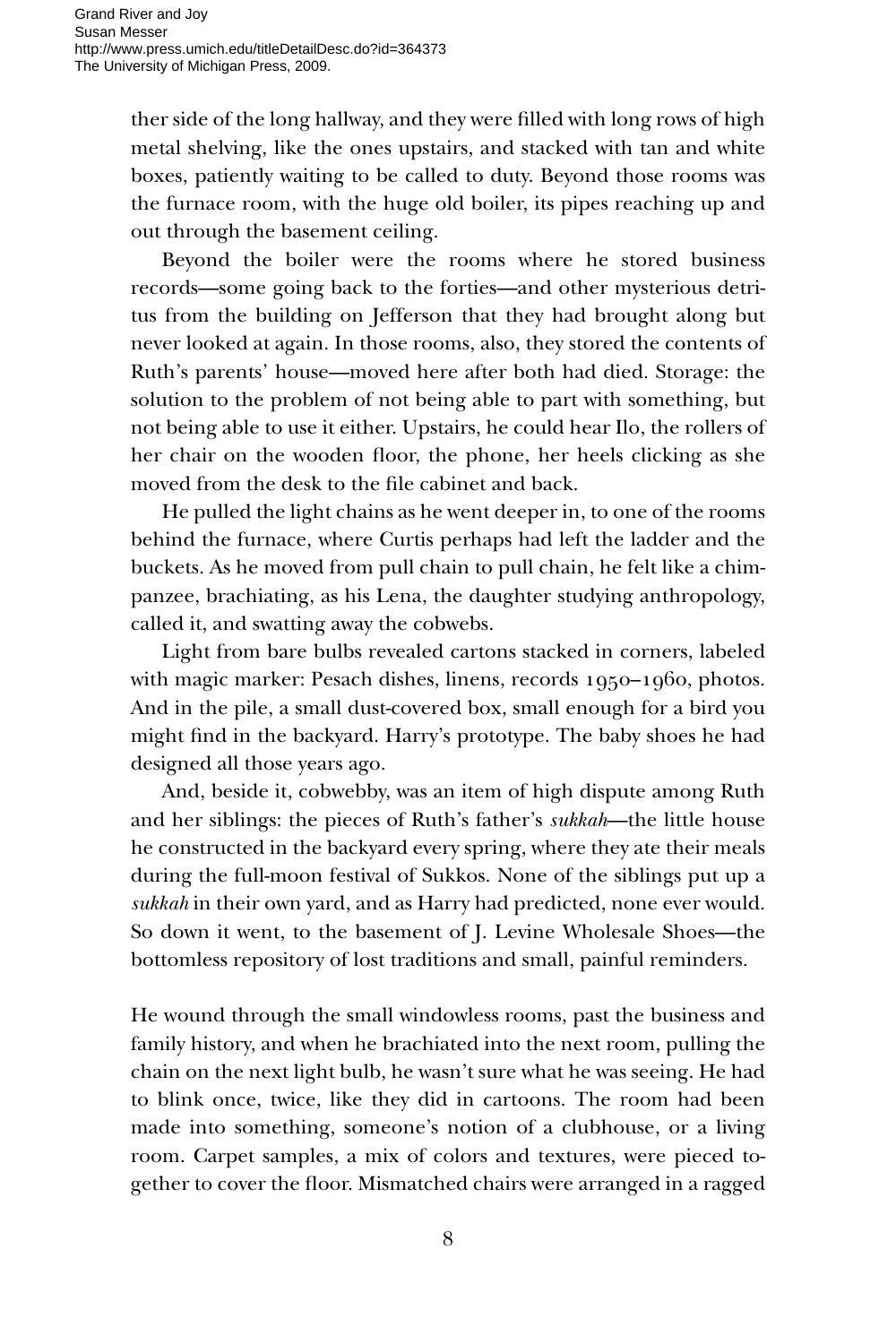ther side of the long hallway, and they were filled with long rows of high metal shelving, like the ones upstairs, and stacked with tan and white boxes, patiently waiting to be called to duty. Beyond those rooms was the furnace room, with the huge old boiler, its pipes reaching up and out through the basement ceiling.

Beyond the boiler were the rooms where he stored business records—some going back to the forties—and other mysterious detritus from the building on Jefferson that they had brought along but never looked at again. In those rooms, also, they stored the contents of Ruth's parents' house—moved here after both had died. Storage: the solution to the problem of not being able to part with something, but not being able to use it either. Upstairs, he could hear Ilo, the rollers of her chair on the wooden floor, the phone, her heels clicking as she moved from the desk to the file cabinet and back.

He pulled the light chains as he went deeper in, to one of the rooms behind the furnace, where Curtis perhaps had left the ladder and the buckets. As he moved from pull chain to pull chain, he felt like a chimpanzee, brachiating, as his Lena, the daughter studying anthropology, called it, and swatting away the cobwebs.

Light from bare bulbs revealed cartons stacked in corners, labeled with magic marker: Pesach dishes, linens, records 1950–1960, photos. And in the pile, a small dust-covered box, small enough for a bird you might find in the backyard. Harry's prototype. The baby shoes he had designed all those years ago.

And, beside it, cobwebby, was an item of high dispute among Ruth and her siblings: the pieces of Ruth's father's *sukkah*—the little house he constructed in the backyard every spring, where they ate their meals during the full-moon festival of Sukkos. None of the siblings put up a *sukkah* in their own yard, and as Harry had predicted, none ever would. So down it went, to the basement of J. Levine Wholesale Shoes—the bottomless repository of lost traditions and small, painful reminders.

He wound through the small windowless rooms, past the business and family history, and when he brachiated into the next room, pulling the chain on the next light bulb, he wasn't sure what he was seeing. He had to blink once, twice, like they did in cartoons. The room had been made into something, someone's notion of a clubhouse, or a living room. Carpet samples, a mix of colors and textures, were pieced together to cover the floor. Mismatched chairs were arranged in a ragged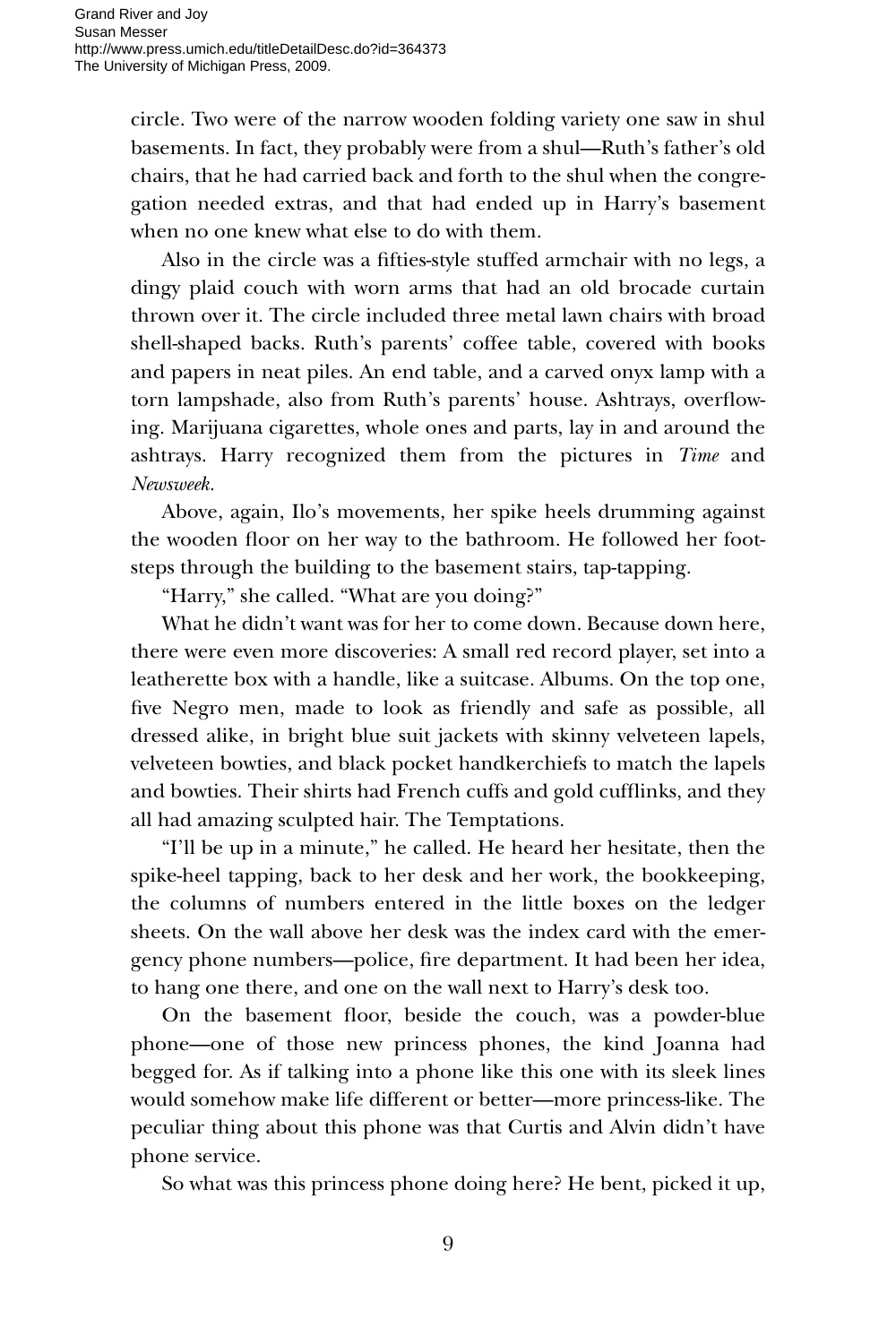circle. Two were of the narrow wooden folding variety one saw in shul basements. In fact, they probably were from a shul—Ruth's father's old chairs, that he had carried back and forth to the shul when the congregation needed extras, and that had ended up in Harry's basement when no one knew what else to do with them.

Also in the circle was a fifties-style stuffed armchair with no legs, a dingy plaid couch with worn arms that had an old brocade curtain thrown over it. The circle included three metal lawn chairs with broad shell-shaped backs. Ruth's parents' coffee table, covered with books and papers in neat piles. An end table, and a carved onyx lamp with a torn lampshade, also from Ruth's parents' house. Ashtrays, overflowing. Marijuana cigarettes, whole ones and parts, lay in and around the ashtrays. Harry recognized them from the pictures in *Time* and *Newsweek.*

Above, again, Ilo's movements, her spike heels drumming against the wooden floor on her way to the bathroom. He followed her footsteps through the building to the basement stairs, tap-tapping.

"Harry," she called. "What are you doing?"

What he didn't want was for her to come down. Because down here, there were even more discoveries: A small red record player, set into a leatherette box with a handle, like a suitcase. Albums. On the top one, five Negro men, made to look as friendly and safe as possible, all dressed alike, in bright blue suit jackets with skinny velveteen lapels, velveteen bowties, and black pocket handkerchiefs to match the lapels and bowties. Their shirts had French cuffs and gold cufflinks, and they all had amazing sculpted hair. The Temptations.

"I'll be up in a minute," he called. He heard her hesitate, then the spike-heel tapping, back to her desk and her work, the bookkeeping, the columns of numbers entered in the little boxes on the ledger sheets. On the wall above her desk was the index card with the emergency phone numbers—police, fire department. It had been her idea, to hang one there, and one on the wall next to Harry's desk too.

On the basement floor, beside the couch, was a powder-blue phone—one of those new princess phones, the kind Joanna had begged for. As if talking into a phone like this one with its sleek lines would somehow make life different or better—more princess-like. The peculiar thing about this phone was that Curtis and Alvin didn't have phone service.

So what was this princess phone doing here? He bent, picked it up,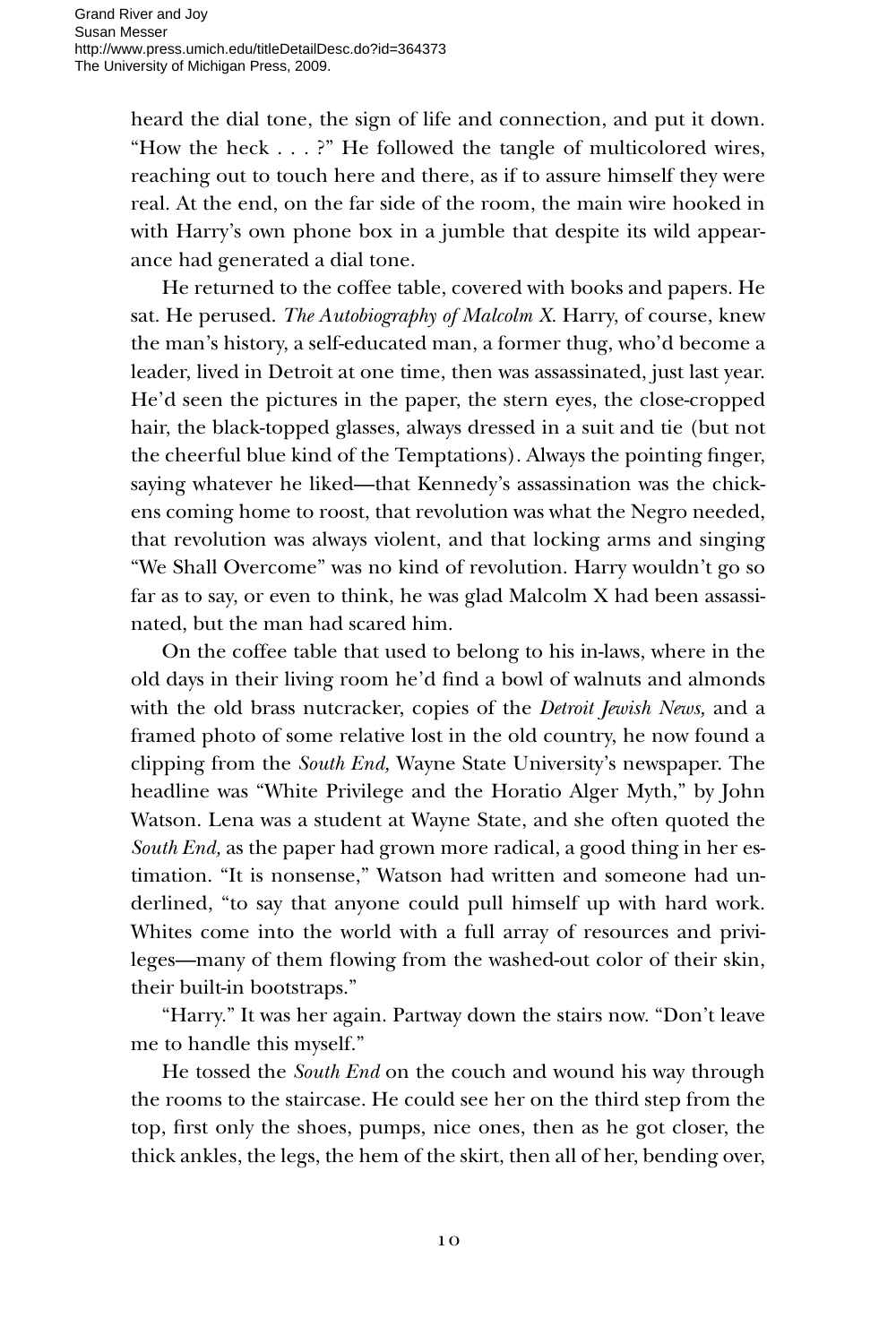heard the dial tone, the sign of life and connection, and put it down. "How the heck . . . ?" He followed the tangle of multicolored wires, reaching out to touch here and there, as if to assure himself they were real. At the end, on the far side of the room, the main wire hooked in with Harry's own phone box in a jumble that despite its wild appearance had generated a dial tone.

He returned to the coffee table, covered with books and papers. He sat. He perused. *The Autobiography of Malcolm X.* Harry, of course, knew the man's history, a self-educated man, a former thug, who'd become a leader, lived in Detroit at one time, then was assassinated, just last year. He'd seen the pictures in the paper, the stern eyes, the close-cropped hair, the black-topped glasses, always dressed in a suit and tie (but not the cheerful blue kind of the Temptations). Always the pointing finger, saying whatever he liked—that Kennedy's assassination was the chickens coming home to roost, that revolution was what the Negro needed, that revolution was always violent, and that locking arms and singing "We Shall Overcome" was no kind of revolution. Harry wouldn't go so far as to say, or even to think, he was glad Malcolm X had been assassinated, but the man had scared him.

On the coffee table that used to belong to his in-laws, where in the old days in their living room he'd find a bowl of walnuts and almonds with the old brass nutcracker, copies of the *Detroit Jewish News,* and a framed photo of some relative lost in the old country, he now found a clipping from the *South End,* Wayne State University's newspaper. The headline was "White Privilege and the Horatio Alger Myth," by John Watson. Lena was a student at Wayne State, and she often quoted the *South End,* as the paper had grown more radical, a good thing in her estimation. "It is nonsense," Watson had written and someone had underlined, "to say that anyone could pull himself up with hard work. Whites come into the world with a full array of resources and privileges—many of them flowing from the washed-out color of their skin, their built-in bootstraps."

"Harry." It was her again. Partway down the stairs now. "Don't leave me to handle this myself."

He tossed the *South End* on the couch and wound his way through the rooms to the staircase. He could see her on the third step from the top, first only the shoes, pumps, nice ones, then as he got closer, the thick ankles, the legs, the hem of the skirt, then all of her, bending over,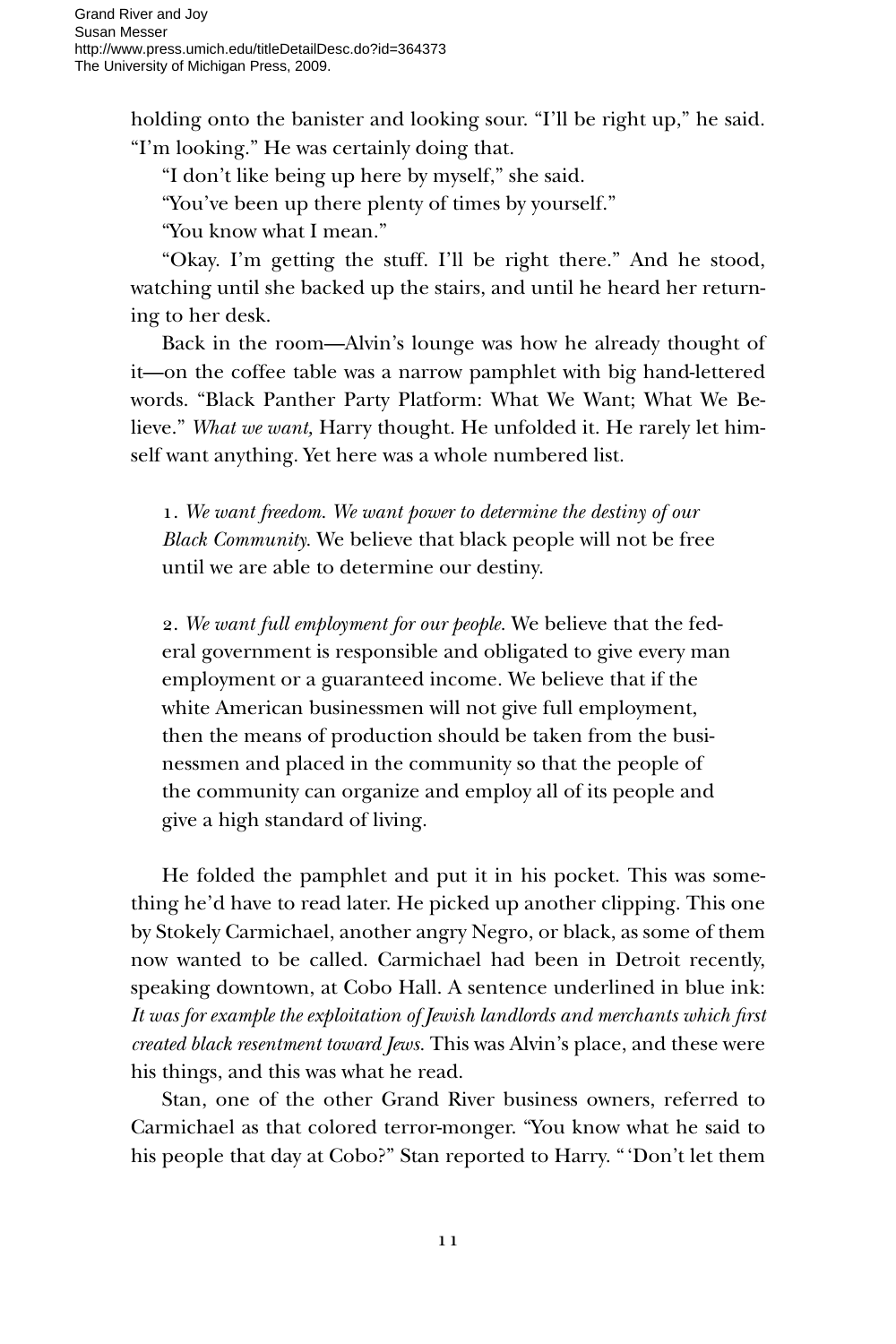holding onto the banister and looking sour. "I'll be right up," he said. "I'm looking." He was certainly doing that.

"I don't like being up here by myself," she said.

"You've been up there plenty of times by yourself."

"You know what I mean."

"Okay. I'm getting the stuff. I'll be right there." And he stood, watching until she backed up the stairs, and until he heard her returning to her desk.

Back in the room—Alvin's lounge was how he already thought of it—on the coffee table was a narrow pamphlet with big hand-lettered words. "Black Panther Party Platform: What We Want; What We Believe." *What we want,* Harry thought. He unfolded it. He rarely let himself want anything. Yet here was a whole numbered list.

1. *We want freedom. We want power to determine the destiny of our Black Community.* We believe that black people will not be free until we are able to determine our destiny.

2. *We want full employment for our people.* We believe that the federal government is responsible and obligated to give every man employment or a guaranteed income. We believe that if the white American businessmen will not give full employment, then the means of production should be taken from the businessmen and placed in the community so that the people of the community can organize and employ all of its people and give a high standard of living.

He folded the pamphlet and put it in his pocket. This was something he'd have to read later. He picked up another clipping. This one by Stokely Carmichael, another angry Negro, or black, as some of them now wanted to be called. Carmichael had been in Detroit recently, speaking downtown, at Cobo Hall. A sentence underlined in blue ink: It was for example the exploitation of Jewish landlords and merchants which first *created black resentment toward Jews.* This was Alvin's place, and these were his things, and this was what he read.

Stan, one of the other Grand River business owners, referred to Carmichael as that colored terror-monger. "You know what he said to his people that day at Cobo?" Stan reported to Harry. "'Don't let them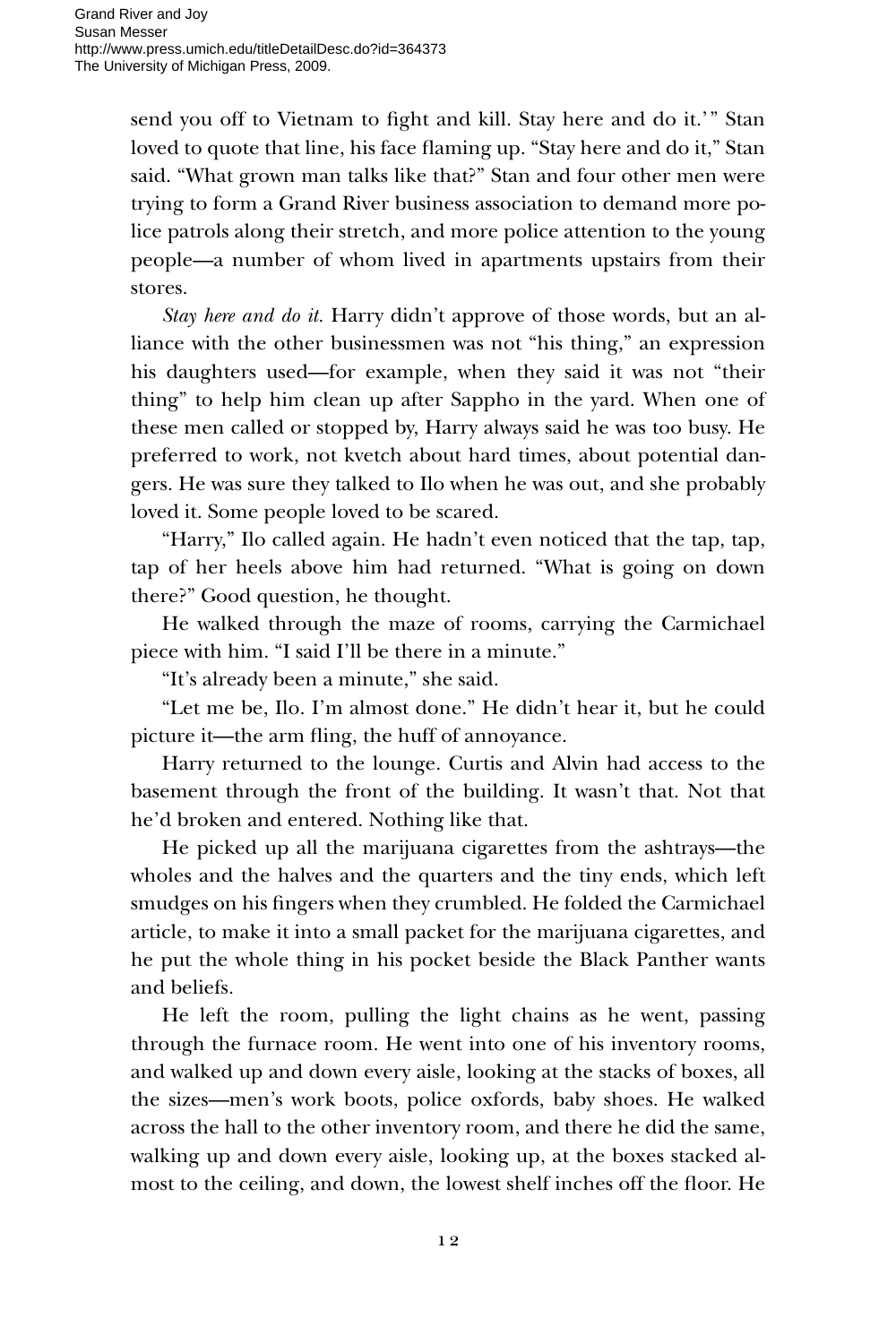send you off to Vietnam to fight and kill. Stay here and do it.'" Stan loved to quote that line, his face flaming up. "Stay here and do it," Stan said. "What grown man talks like that?" Stan and four other men were trying to form a Grand River business association to demand more police patrols along their stretch, and more police attention to the young people—a number of whom lived in apartments upstairs from their stores.

*Stay here and do it.* Harry didn't approve of those words, but an alliance with the other businessmen was not "his thing," an expression his daughters used—for example, when they said it was not "their thing" to help him clean up after Sappho in the yard. When one of these men called or stopped by, Harry always said he was too busy. He preferred to work, not kvetch about hard times, about potential dangers. He was sure they talked to Ilo when he was out, and she probably loved it. Some people loved to be scared.

"Harry," Ilo called again. He hadn't even noticed that the tap, tap, tap of her heels above him had returned. "What is going on down there?" Good question, he thought.

He walked through the maze of rooms, carrying the Carmichael piece with him. "I said I'll be there in a minute."

"It's already been a minute," she said.

"Let me be, Ilo. I'm almost done." He didn't hear it, but he could picture it—the arm fling, the huff of annoyance.

Harry returned to the lounge. Curtis and Alvin had access to the basement through the front of the building. It wasn't that. Not that he'd broken and entered. Nothing like that.

He picked up all the marijuana cigarettes from the ashtrays—the wholes and the halves and the quarters and the tiny ends, which left smudges on his fingers when they crumbled. He folded the Carmichael article, to make it into a small packet for the marijuana cigarettes, and he put the whole thing in his pocket beside the Black Panther wants and beliefs.

He left the room, pulling the light chains as he went, passing through the furnace room. He went into one of his inventory rooms, and walked up and down every aisle, looking at the stacks of boxes, all the sizes—men's work boots, police oxfords, baby shoes. He walked across the hall to the other inventory room, and there he did the same, walking up and down every aisle, looking up, at the boxes stacked almost to the ceiling, and down, the lowest shelf inches off the floor. He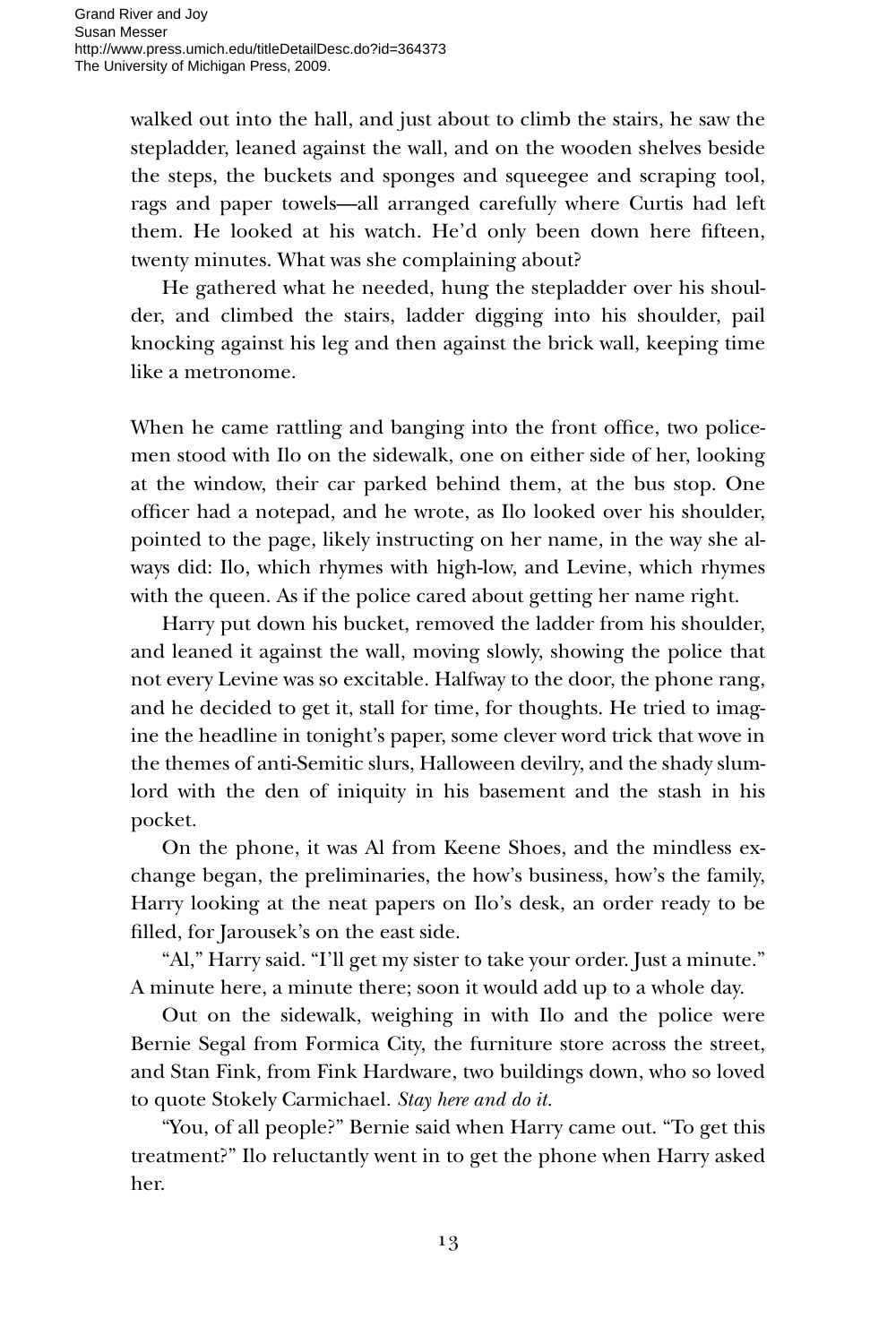walked out into the hall, and just about to climb the stairs, he saw the stepladder, leaned against the wall, and on the wooden shelves beside the steps, the buckets and sponges and squeegee and scraping tool, rags and paper towels—all arranged carefully where Curtis had left them. He looked at his watch. He'd only been down here fifteen, twenty minutes. What was she complaining about?

He gathered what he needed, hung the stepladder over his shoulder, and climbed the stairs, ladder digging into his shoulder, pail knocking against his leg and then against the brick wall, keeping time like a metronome.

When he came rattling and banging into the front office, two policemen stood with Ilo on the sidewalk, one on either side of her, looking at the window, their car parked behind them, at the bus stop. One officer had a notepad, and he wrote, as Ilo looked over his shoulder, pointed to the page, likely instructing on her name, in the way she always did: Ilo, which rhymes with high-low, and Levine, which rhymes with the queen. As if the police cared about getting her name right.

Harry put down his bucket, removed the ladder from his shoulder, and leaned it against the wall, moving slowly, showing the police that not every Levine was so excitable. Halfway to the door, the phone rang, and he decided to get it, stall for time, for thoughts. He tried to imagine the headline in tonight's paper, some clever word trick that wove in the themes of anti-Semitic slurs, Halloween devilry, and the shady slumlord with the den of iniquity in his basement and the stash in his pocket.

On the phone, it was Al from Keene Shoes, and the mindless exchange began, the preliminaries, the how's business, how's the family, Harry looking at the neat papers on Ilo's desk, an order ready to be filled, for Jarousek's on the east side.

"Al," Harry said. "I'll get my sister to take your order. Just a minute." A minute here, a minute there; soon it would add up to a whole day.

Out on the sidewalk, weighing in with Ilo and the police were Bernie Segal from Formica City, the furniture store across the street, and Stan Fink, from Fink Hardware, two buildings down, who so loved to quote Stokely Carmichael. *Stay here and do it.*

"You, of all people?" Bernie said when Harry came out. "To get this treatment?" Ilo reluctantly went in to get the phone when Harry asked her.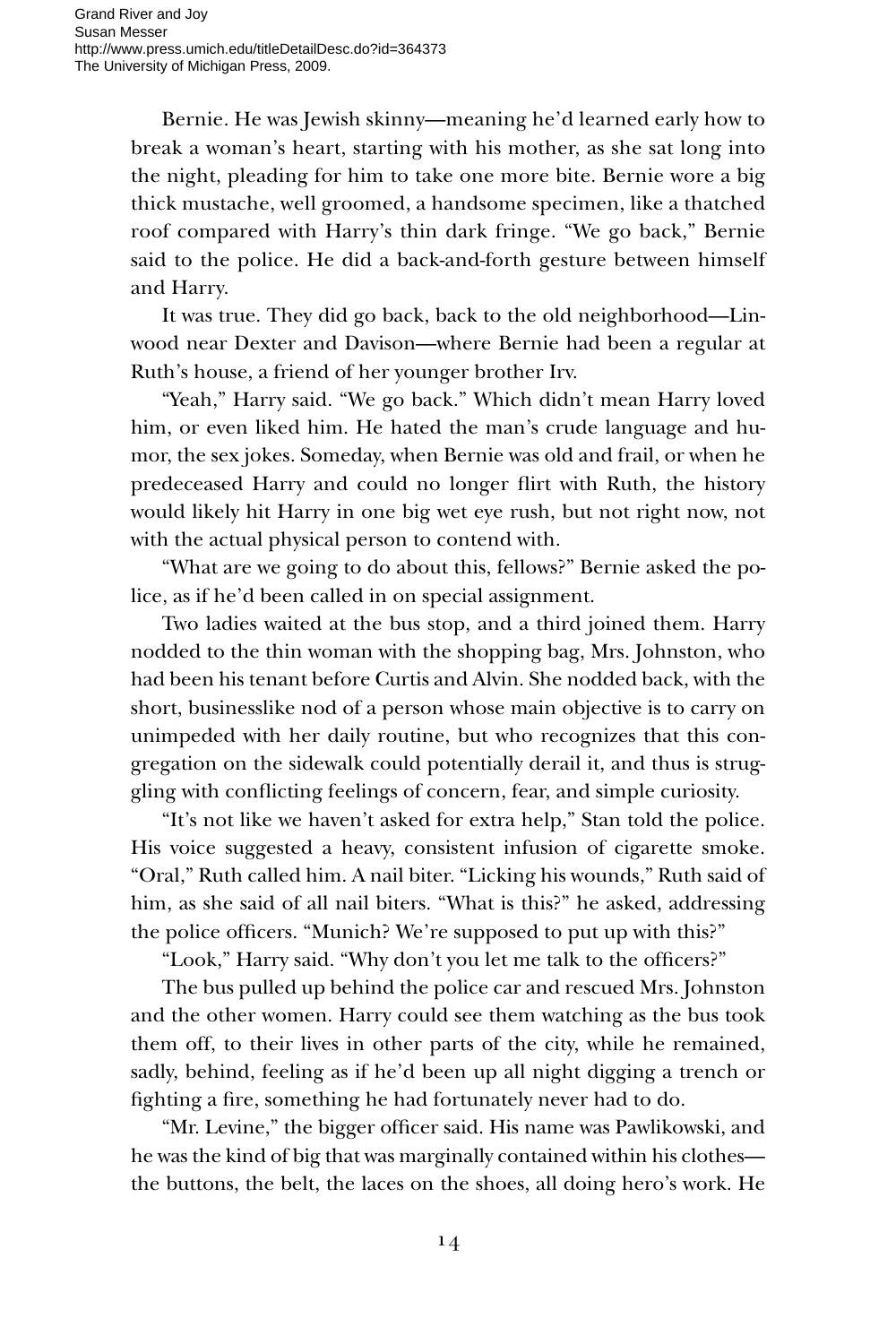Bernie. He was Jewish skinny—meaning he'd learned early how to break a woman's heart, starting with his mother, as she sat long into the night, pleading for him to take one more bite. Bernie wore a big thick mustache, well groomed, a handsome specimen, like a thatched roof compared with Harry's thin dark fringe. "We go back," Bernie said to the police. He did a back-and-forth gesture between himself and Harry.

It was true. They did go back, back to the old neighborhood—Linwood near Dexter and Davison—where Bernie had been a regular at Ruth's house, a friend of her younger brother Irv.

"Yeah," Harry said. "We go back." Which didn't mean Harry loved him, or even liked him. He hated the man's crude language and humor, the sex jokes. Someday, when Bernie was old and frail, or when he predeceased Harry and could no longer flirt with Ruth, the history would likely hit Harry in one big wet eye rush, but not right now, not with the actual physical person to contend with.

"What are we going to do about this, fellows?" Bernie asked the police, as if he'd been called in on special assignment.

Two ladies waited at the bus stop, and a third joined them. Harry nodded to the thin woman with the shopping bag, Mrs. Johnston, who had been his tenant before Curtis and Alvin. She nodded back, with the short, businesslike nod of a person whose main objective is to carry on unimpeded with her daily routine, but who recognizes that this congregation on the sidewalk could potentially derail it, and thus is struggling with conflicting feelings of concern, fear, and simple curiosity.

"It's not like we haven't asked for extra help," Stan told the police. His voice suggested a heavy, consistent infusion of cigarette smoke. "Oral," Ruth called him. A nail biter. "Licking his wounds," Ruth said of him, as she said of all nail biters. "What is this?" he asked, addressing the police officers. "Munich? We're supposed to put up with this?"

"Look," Harry said. "Why don't you let me talk to the officers?"

The bus pulled up behind the police car and rescued Mrs. Johnston and the other women. Harry could see them watching as the bus took them off, to their lives in other parts of the city, while he remained, sadly, behind, feeling as if he'd been up all night digging a trench or fighting a fire, something he had fortunately never had to do.

"Mr. Levine," the bigger officer said. His name was Pawlikowski, and he was the kind of big that was marginally contained within his clothes the buttons, the belt, the laces on the shoes, all doing hero's work. He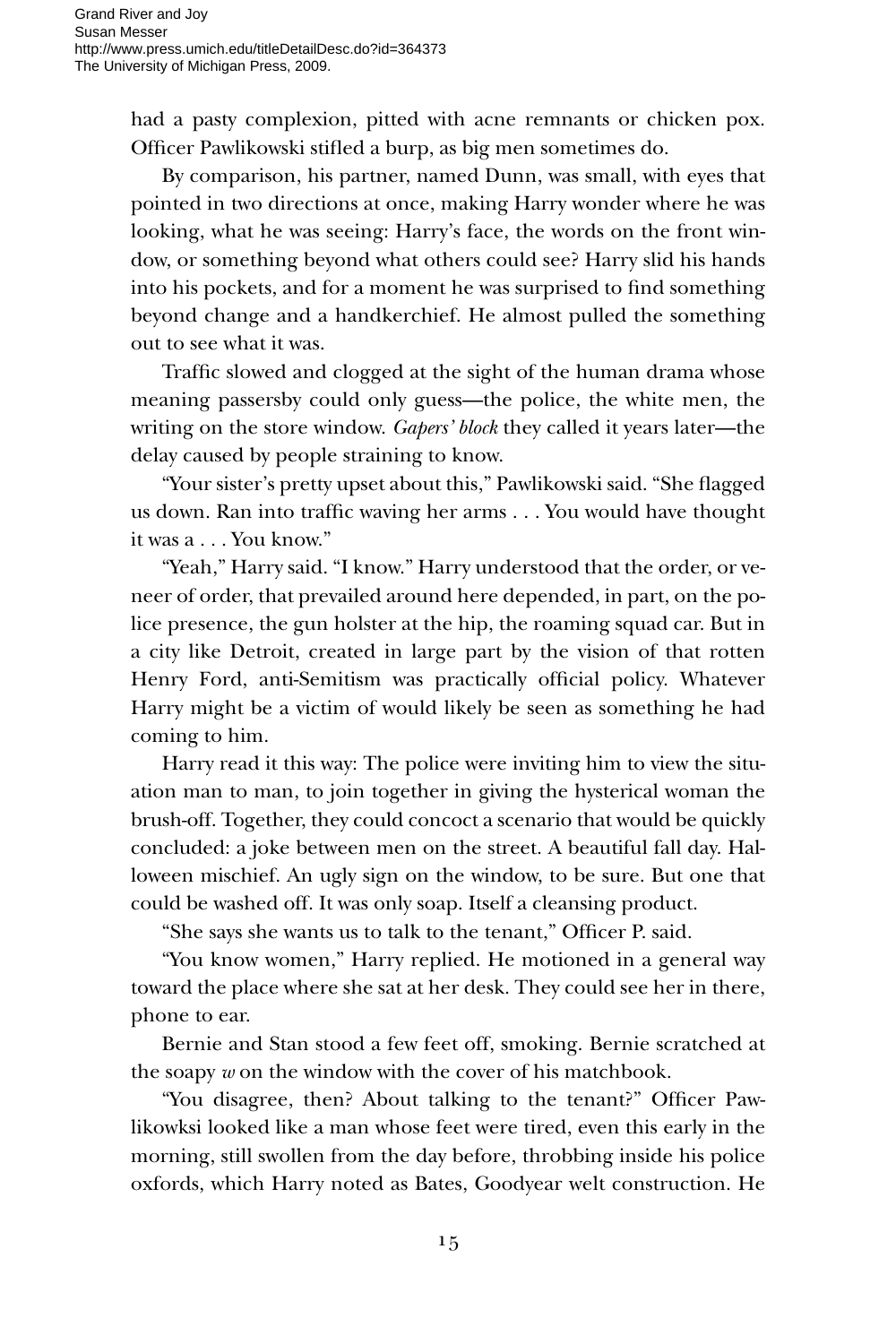had a pasty complexion, pitted with acne remnants or chicken pox. Officer Pawlikowski stifled a burp, as big men sometimes do.

By comparison, his partner, named Dunn, was small, with eyes that pointed in two directions at once, making Harry wonder where he was looking, what he was seeing: Harry's face, the words on the front window, or something beyond what others could see? Harry slid his hands into his pockets, and for a moment he was surprised to find something beyond change and a handkerchief. He almost pulled the something out to see what it was.

Traffic slowed and clogged at the sight of the human drama whose meaning passersby could only guess—the police, the white men, the writing on the store window. *Gapers' block* they called it years later—the delay caused by people straining to know.

"Your sister's pretty upset about this," Pawlikowski said. "She flagged us down. Ran into traffic waving her arms . . . You would have thought it was a . . . You know."

"Yeah," Harry said. "I know." Harry understood that the order, or veneer of order, that prevailed around here depended, in part, on the police presence, the gun holster at the hip, the roaming squad car. But in a city like Detroit, created in large part by the vision of that rotten Henry Ford, anti-Semitism was practically official policy. Whatever Harry might be a victim of would likely be seen as something he had coming to him.

Harry read it this way: The police were inviting him to view the situation man to man, to join together in giving the hysterical woman the brush-off. Together, they could concoct a scenario that would be quickly concluded: a joke between men on the street. A beautiful fall day. Halloween mischief. An ugly sign on the window, to be sure. But one that could be washed off. It was only soap. Itself a cleansing product.

"She says she wants us to talk to the tenant," Officer P. said.

"You know women," Harry replied. He motioned in a general way toward the place where she sat at her desk. They could see her in there, phone to ear.

Bernie and Stan stood a few feet off, smoking. Bernie scratched at the soapy *w* on the window with the cover of his matchbook.

"You disagree, then? About talking to the tenant?" Officer Pawlikowksi looked like a man whose feet were tired, even this early in the morning, still swollen from the day before, throbbing inside his police oxfords, which Harry noted as Bates, Goodyear welt construction. He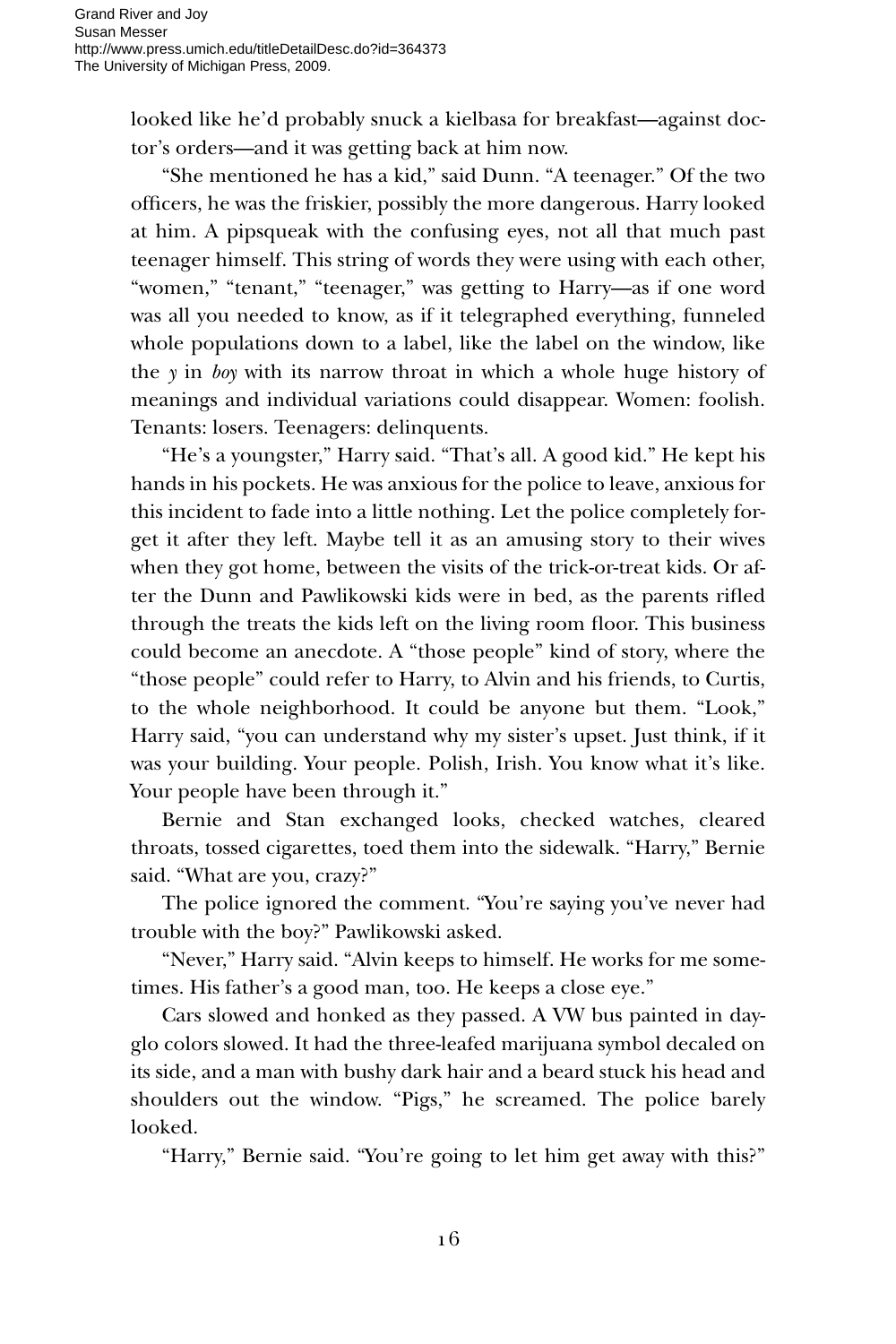looked like he'd probably snuck a kielbasa for breakfast—against doctor's orders—and it was getting back at him now.

"She mentioned he has a kid," said Dunn. "A teenager." Of the two officers, he was the friskier, possibly the more dangerous. Harry looked at him. A pipsqueak with the confusing eyes, not all that much past teenager himself. This string of words they were using with each other, "women," "tenant," "teenager," was getting to Harry—as if one word was all you needed to know, as if it telegraphed everything, funneled whole populations down to a label, like the label on the window, like the *y* in *boy* with its narrow throat in which a whole huge history of meanings and individual variations could disappear. Women: foolish. Tenants: losers. Teenagers: delinquents.

"He's a youngster," Harry said. "That's all. A good kid." He kept his hands in his pockets. He was anxious for the police to leave, anxious for this incident to fade into a little nothing. Let the police completely forget it after they left. Maybe tell it as an amusing story to their wives when they got home, between the visits of the trick-or-treat kids. Or after the Dunn and Pawlikowski kids were in bed, as the parents rifled through the treats the kids left on the living room floor. This business could become an anecdote. A "those people" kind of story, where the "those people" could refer to Harry, to Alvin and his friends, to Curtis, to the whole neighborhood. It could be anyone but them. "Look," Harry said, "you can understand why my sister's upset. Just think, if it was your building. Your people. Polish, Irish. You know what it's like. Your people have been through it."

Bernie and Stan exchanged looks, checked watches, cleared throats, tossed cigarettes, toed them into the sidewalk. "Harry," Bernie said. "What are you, crazy?"

The police ignored the comment. "You're saying you've never had trouble with the boy?" Pawlikowski asked.

"Never," Harry said. "Alvin keeps to himself. He works for me sometimes. His father's a good man, too. He keeps a close eye."

Cars slowed and honked as they passed. A VW bus painted in dayglo colors slowed. It had the three-leafed marijuana symbol decaled on its side, and a man with bushy dark hair and a beard stuck his head and shoulders out the window. "Pigs," he screamed. The police barely looked.

"Harry," Bernie said. "You're going to let him get away with this?"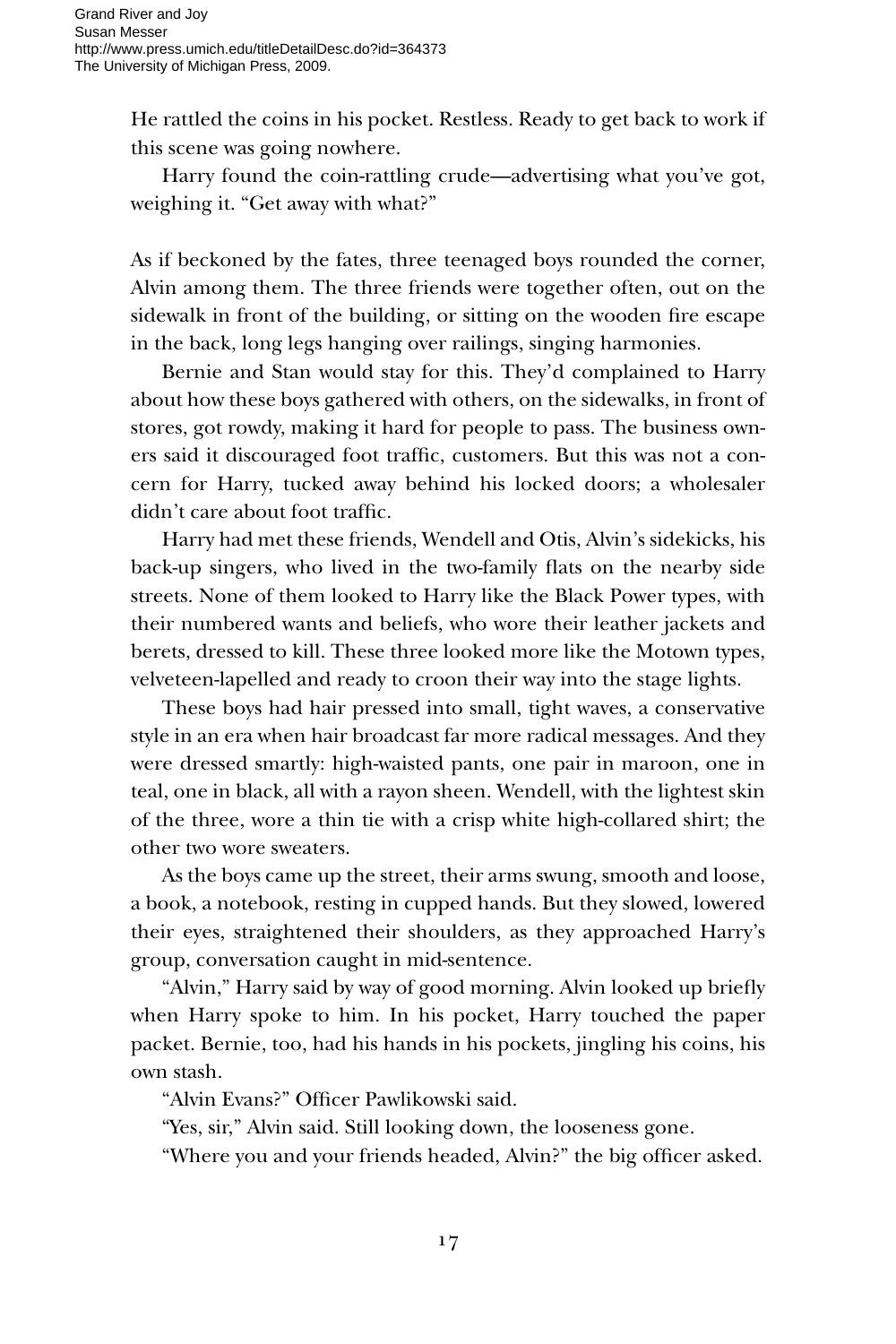He rattled the coins in his pocket. Restless. Ready to get back to work if this scene was going nowhere.

Harry found the coin-rattling crude—advertising what you've got, weighing it. "Get away with what?"

As if beckoned by the fates, three teenaged boys rounded the corner, Alvin among them. The three friends were together often, out on the sidewalk in front of the building, or sitting on the wooden fire escape in the back, long legs hanging over railings, singing harmonies.

Bernie and Stan would stay for this. They'd complained to Harry about how these boys gathered with others, on the sidewalks, in front of stores, got rowdy, making it hard for people to pass. The business owners said it discouraged foot traffic, customers. But this was not a concern for Harry, tucked away behind his locked doors; a wholesaler didn't care about foot traffic.

Harry had met these friends, Wendell and Otis, Alvin's sidekicks, his back-up singers, who lived in the two-family flats on the nearby side streets. None of them looked to Harry like the Black Power types, with their numbered wants and beliefs, who wore their leather jackets and berets, dressed to kill. These three looked more like the Motown types, velveteen-lapelled and ready to croon their way into the stage lights.

These boys had hair pressed into small, tight waves, a conservative style in an era when hair broadcast far more radical messages. And they were dressed smartly: high-waisted pants, one pair in maroon, one in teal, one in black, all with a rayon sheen. Wendell, with the lightest skin of the three, wore a thin tie with a crisp white high-collared shirt; the other two wore sweaters.

As the boys came up the street, their arms swung, smooth and loose, a book, a notebook, resting in cupped hands. But they slowed, lowered their eyes, straightened their shoulders, as they approached Harry's group, conversation caught in mid-sentence.

"Alvin," Harry said by way of good morning. Alvin looked up briefly when Harry spoke to him. In his pocket, Harry touched the paper packet. Bernie, too, had his hands in his pockets, jingling his coins, his own stash.

"Alvin Evans?" Officer Pawlikowski said.

"Yes, sir," Alvin said. Still looking down, the looseness gone.

"Where you and your friends headed, Alvin?" the big officer asked.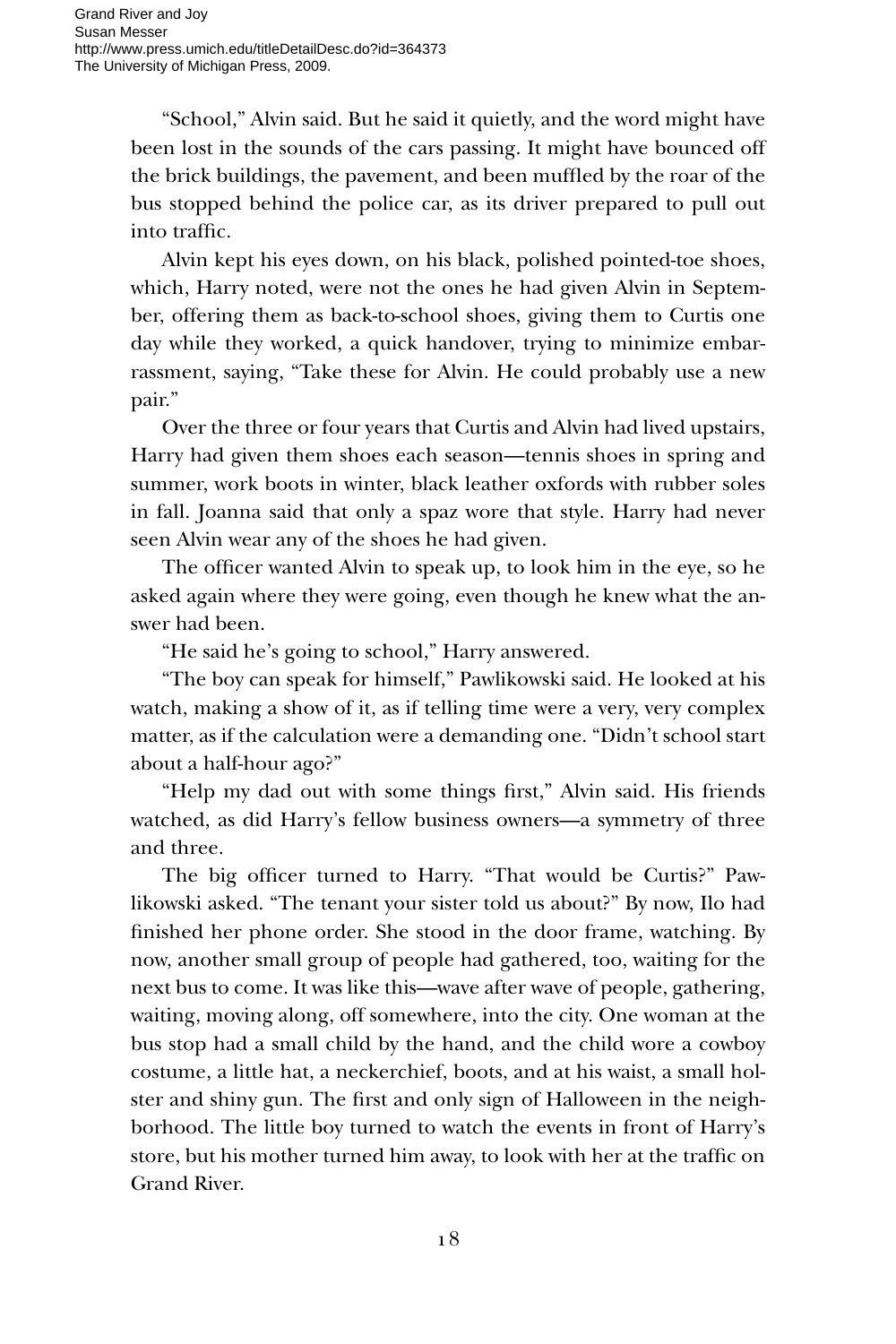"School," Alvin said. But he said it quietly, and the word might have been lost in the sounds of the cars passing. It might have bounced off the brick buildings, the pavement, and been muffled by the roar of the bus stopped behind the police car, as its driver prepared to pull out into traffic.

Alvin kept his eyes down, on his black, polished pointed-toe shoes, which, Harry noted, were not the ones he had given Alvin in September, offering them as back-to-school shoes, giving them to Curtis one day while they worked, a quick handover, trying to minimize embarrassment, saying, "Take these for Alvin. He could probably use a new pair."

Over the three or four years that Curtis and Alvin had lived upstairs, Harry had given them shoes each season—tennis shoes in spring and summer, work boots in winter, black leather oxfords with rubber soles in fall. Joanna said that only a spaz wore that style. Harry had never seen Alvin wear any of the shoes he had given.

The officer wanted Alvin to speak up, to look him in the eye, so he asked again where they were going, even though he knew what the answer had been.

"He said he's going to school," Harry answered.

"The boy can speak for himself," Pawlikowski said. He looked at his watch, making a show of it, as if telling time were a very, very complex matter, as if the calculation were a demanding one. "Didn't school start about a half-hour ago?"

"Help my dad out with some things first," Alvin said. His friends watched, as did Harry's fellow business owners—a symmetry of three and three.

The big officer turned to Harry. "That would be Curtis?" Pawlikowski asked. "The tenant your sister told us about?" By now, Ilo had finished her phone order. She stood in the door frame, watching. By now, another small group of people had gathered, too, waiting for the next bus to come. It was like this—wave after wave of people, gathering, waiting, moving along, off somewhere, into the city. One woman at the bus stop had a small child by the hand, and the child wore a cowboy costume, a little hat, a neckerchief, boots, and at his waist, a small holster and shiny gun. The first and only sign of Halloween in the neighborhood. The little boy turned to watch the events in front of Harry's store, but his mother turned him away, to look with her at the traffic on Grand River.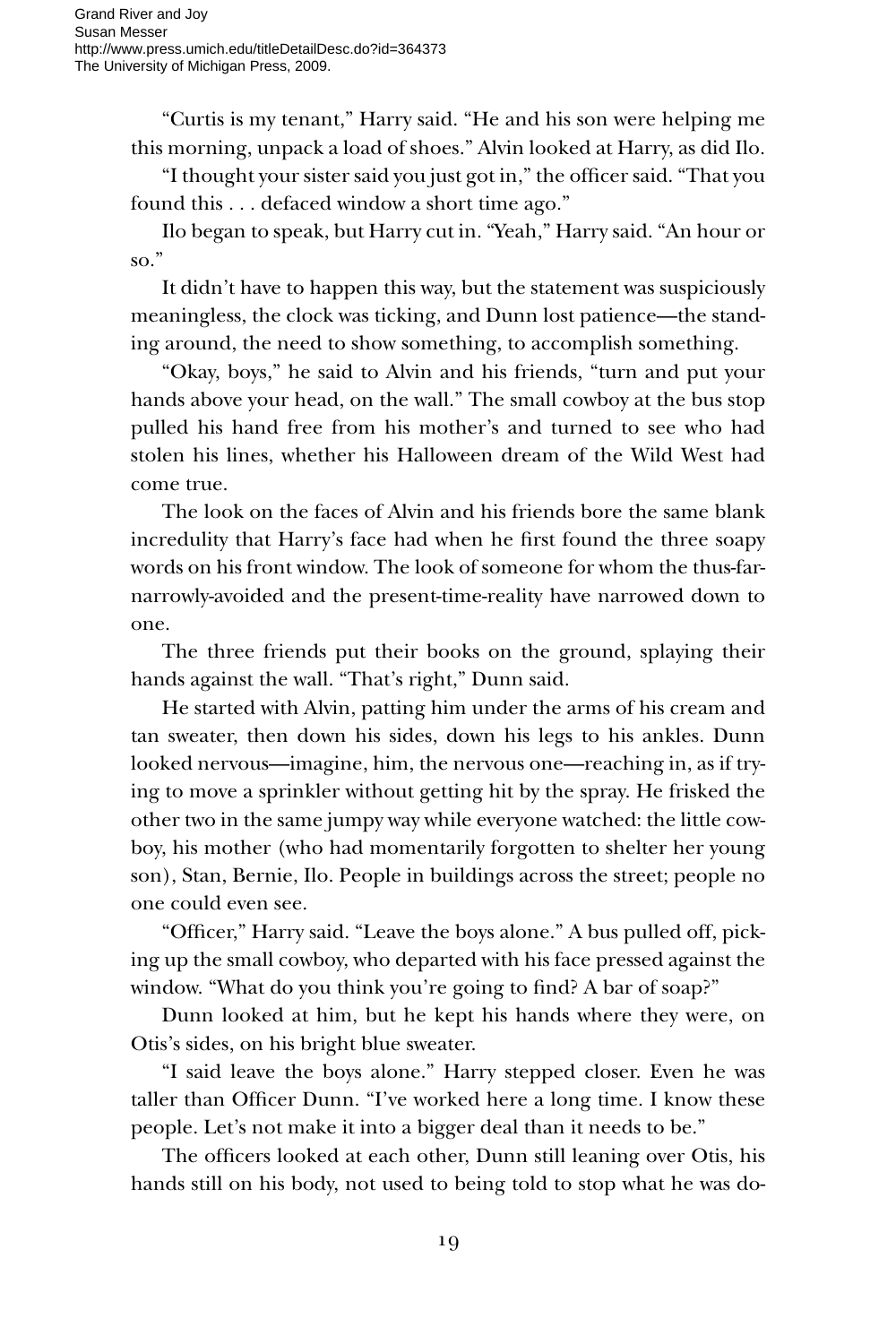"Curtis is my tenant," Harry said. "He and his son were helping me this morning, unpack a load of shoes." Alvin looked at Harry, as did Ilo.

"I thought your sister said you just got in," the officer said. "That you found this . . . defaced window a short time ago."

Ilo began to speak, but Harry cut in. "Yeah," Harry said. "An hour or so."

It didn't have to happen this way, but the statement was suspiciously meaningless, the clock was ticking, and Dunn lost patience—the standing around, the need to show something, to accomplish something.

"Okay, boys," he said to Alvin and his friends, "turn and put your hands above your head, on the wall." The small cowboy at the bus stop pulled his hand free from his mother's and turned to see who had stolen his lines, whether his Halloween dream of the Wild West had come true.

The look on the faces of Alvin and his friends bore the same blank incredulity that Harry's face had when he first found the three soapy words on his front window. The look of someone for whom the thus-farnarrowly-avoided and the present-time-reality have narrowed down to one.

The three friends put their books on the ground, splaying their hands against the wall. "That's right," Dunn said.

He started with Alvin, patting him under the arms of his cream and tan sweater, then down his sides, down his legs to his ankles. Dunn looked nervous—imagine, him, the nervous one—reaching in, as if trying to move a sprinkler without getting hit by the spray. He frisked the other two in the same jumpy way while everyone watched: the little cowboy, his mother (who had momentarily forgotten to shelter her young son), Stan, Bernie, Ilo. People in buildings across the street; people no one could even see.

"Officer," Harry said. "Leave the boys alone." A bus pulled off, picking up the small cowboy, who departed with his face pressed against the window. "What do you think you're going to find? A bar of soap?"

Dunn looked at him, but he kept his hands where they were, on Otis's sides, on his bright blue sweater.

"I said leave the boys alone." Harry stepped closer. Even he was taller than Officer Dunn. "I've worked here a long time. I know these people. Let's not make it into a bigger deal than it needs to be."

The officers looked at each other, Dunn still leaning over Otis, his hands still on his body, not used to being told to stop what he was do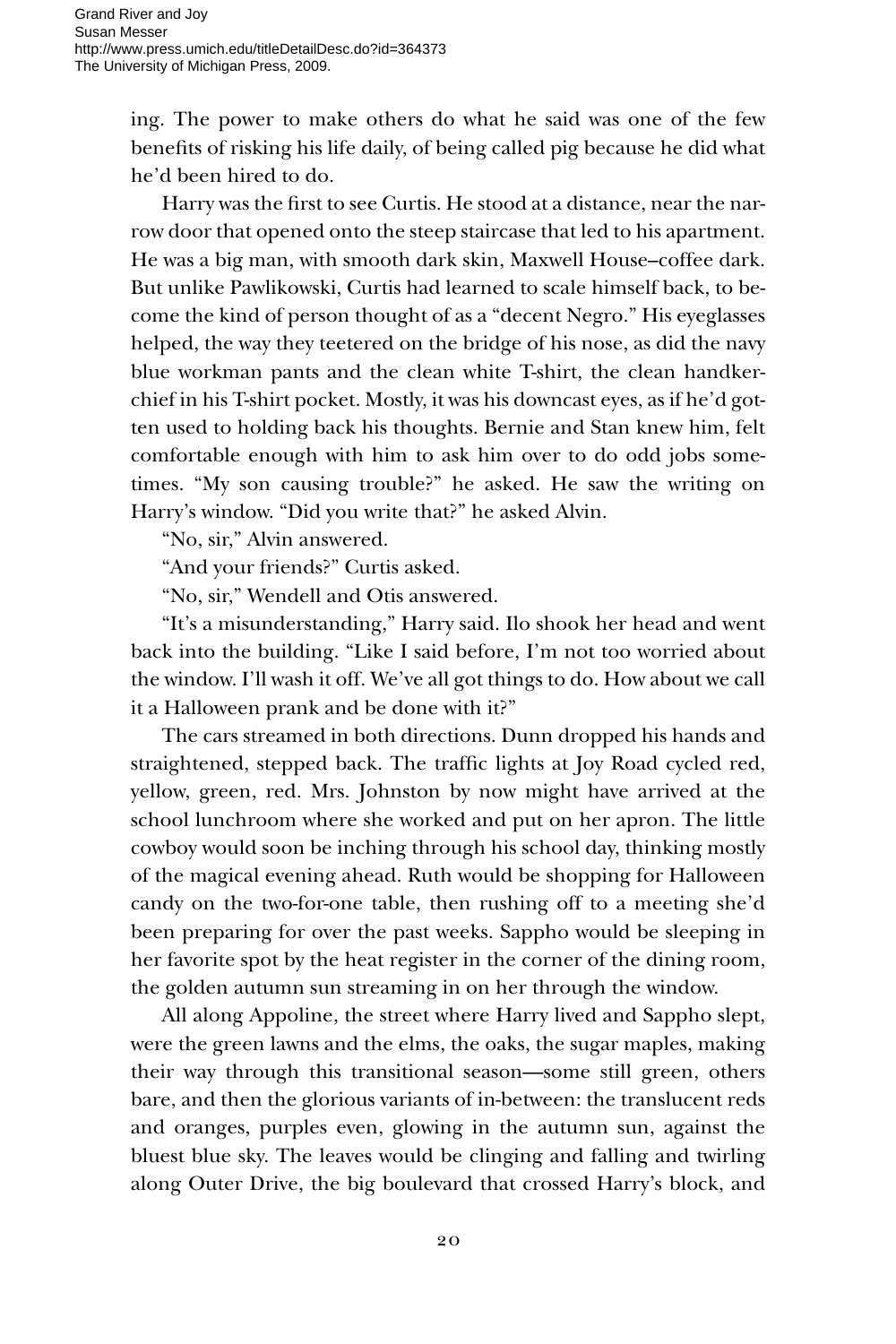ing. The power to make others do what he said was one of the few benefits of risking his life daily, of being called pig because he did what he'd been hired to do.

Harry was the first to see Curtis. He stood at a distance, near the narrow door that opened onto the steep staircase that led to his apartment. He was a big man, with smooth dark skin, Maxwell House–coffee dark. But unlike Pawlikowski, Curtis had learned to scale himself back, to become the kind of person thought of as a "decent Negro." His eyeglasses helped, the way they teetered on the bridge of his nose, as did the navy blue workman pants and the clean white T-shirt, the clean handkerchief in his T-shirt pocket. Mostly, it was his downcast eyes, as if he'd gotten used to holding back his thoughts. Bernie and Stan knew him, felt comfortable enough with him to ask him over to do odd jobs sometimes. "My son causing trouble?" he asked. He saw the writing on Harry's window. "Did you write that?" he asked Alvin.

"No, sir," Alvin answered.

"And your friends?" Curtis asked.

"No, sir," Wendell and Otis answered.

"It's a misunderstanding," Harry said. Ilo shook her head and went back into the building. "Like I said before, I'm not too worried about the window. I'll wash it off. We've all got things to do. How about we call it a Halloween prank and be done with it?"

The cars streamed in both directions. Dunn dropped his hands and straightened, stepped back. The traffic lights at Joy Road cycled red, yellow, green, red. Mrs. Johnston by now might have arrived at the school lunchroom where she worked and put on her apron. The little cowboy would soon be inching through his school day, thinking mostly of the magical evening ahead. Ruth would be shopping for Halloween candy on the two-for-one table, then rushing off to a meeting she'd been preparing for over the past weeks. Sappho would be sleeping in her favorite spot by the heat register in the corner of the dining room, the golden autumn sun streaming in on her through the window.

All along Appoline, the street where Harry lived and Sappho slept, were the green lawns and the elms, the oaks, the sugar maples, making their way through this transitional season—some still green, others bare, and then the glorious variants of in-between: the translucent reds and oranges, purples even, glowing in the autumn sun, against the bluest blue sky. The leaves would be clinging and falling and twirling along Outer Drive, the big boulevard that crossed Harry's block, and